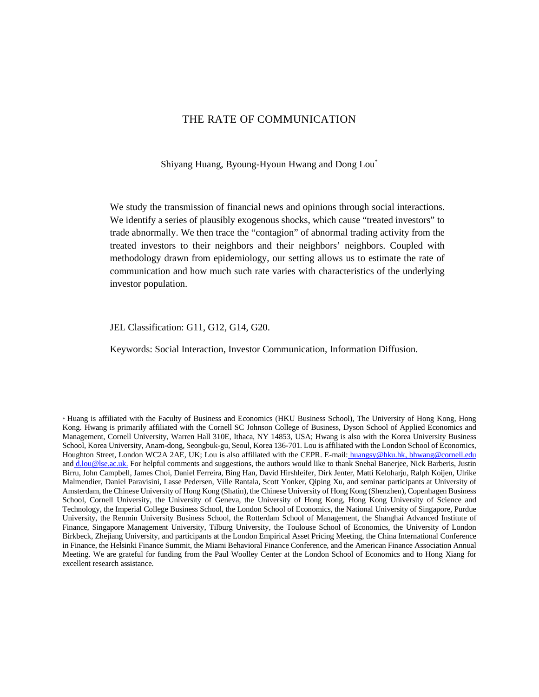# THE RATE OF COMMUNICATION

Shiyang Huang, Byoung-Hyoun Hwang and Dong Lou\*

We study the transmission of financial news and opinions through social interactions. We identify a series of plausibly exogenous shocks, which cause "treated investors" to trade abnormally. We then trace the "contagion" of abnormal trading activity from the treated investors to their neighbors and their neighbors' neighbors. Coupled with methodology drawn from epidemiology, our setting allows us to estimate the rate of communication and how much such rate varies with characteristics of the underlying investor population.

JEL Classification: G11, G12, G14, G20.

Keywords: Social Interaction, Investor Communication, Information Diffusion.

\* Huang is affiliated with the Faculty of Business and Economics (HKU Business School), The University of Hong Kong, Hong Kong. Hwang is primarily affiliated with the Cornell SC Johnson College of Business, Dyson School of Applied Economics and Management, Cornell University, Warren Hall 310E, Ithaca, NY 14853, USA; Hwang is also with the Korea University Business [School, Korea University, Anam-dong, Seongbuk-gu, Seoul, Korea 136-701. Lou is affiliated with the London School of Economics,](mailto:huangsy@hku.hk)  Ho[ughton Street, Lon](mailto:d.lou@lse.ac.uk)don WC2A 2AE, UK; Lou is also affiliated with the CEPR. E-mail: huangsy@hku.hk, bhwang@cornell.edu and d.lou@lse.ac.uk. For helpful comments and suggestions, the authors would like to thank Snehal Banerjee, Nick Barberis, Justin Birru, John Campbell, James Choi, Daniel Ferreira, Bing Han, David Hirshleifer, Dirk Jenter, Matti Keloharju, Ralph Koijen, Ulrike Malmendier, Daniel Paravisini, Lasse Pedersen, Ville Rantala, Scott Yonker, Qiping Xu, and seminar participants at University of Amsterdam, the Chinese University of Hong Kong (Shatin), the Chinese University of Hong Kong (Shenzhen), Copenhagen Business School, Cornell University, the University of Geneva, the University of Hong Kong, Hong Kong University of Science and Technology, the Imperial College Business School, the London School of Economics, the National University of Singapore, Purdue University, the Renmin University Business School, the Rotterdam School of Management, the Shanghai Advanced Institute of Finance, Singapore Management University, Tilburg University, the Toulouse School of Economics, the University of London Birkbeck, Zhejiang University, and participants at the London Empirical Asset Pricing Meeting, the China International Conference in Finance, the Helsinki Finance Summit, the Miami Behavioral Finance Conference, and the American Finance Association Annual Meeting. We are grateful for funding from the Paul Woolley Center at the London School of Economics and to Hong Xiang for excellent research assistance.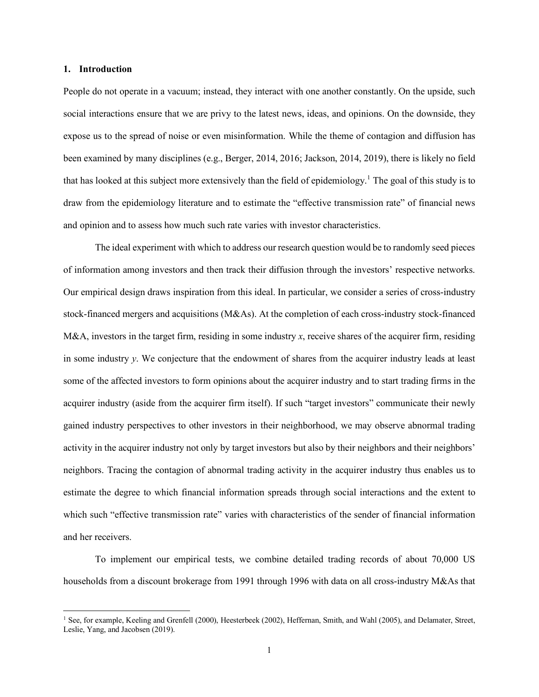#### **1. Introduction**

People do not operate in a vacuum; instead, they interact with one another constantly. On the upside, such social interactions ensure that we are privy to the latest news, ideas, and opinions. On the downside, they expose us to the spread of noise or even misinformation. While the theme of contagion and diffusion has been examined by many disciplines (e.g., Berger, 2014, 2016; Jackson, 2014, 2019), there is likely no field that has looked at this subject more extensively than the field of epidemiology.<sup>1</sup> The goal of this study is to draw from the epidemiology literature and to estimate the "effective transmission rate" of financial news and opinion and to assess how much such rate varies with investor characteristics.

The ideal experiment with which to address our research question would be to randomly seed pieces of information among investors and then track their diffusion through the investors' respective networks. Our empirical design draws inspiration from this ideal. In particular, we consider a series of cross-industry stock-financed mergers and acquisitions (M&As). At the completion of each cross-industry stock-financed M&A, investors in the target firm, residing in some industry x, receive shares of the acquirer firm, residing in some industry *y*. We conjecture that the endowment of shares from the acquirer industry leads at least some of the affected investors to form opinions about the acquirer industry and to start trading firms in the acquirer industry (aside from the acquirer firm itself). If such "target investors" communicate their newly gained industry perspectives to other investors in their neighborhood, we may observe abnormal trading activity in the acquirer industry not only by target investors but also by their neighbors and their neighbors' neighbors. Tracing the contagion of abnormal trading activity in the acquirer industry thus enables us to estimate the degree to which financial information spreads through social interactions and the extent to which such "effective transmission rate" varies with characteristics of the sender of financial information and her receivers.

To implement our empirical tests, we combine detailed trading records of about 70,000 US households from a discount brokerage from 1991 through 1996 with data on all cross-industry M&As that

<sup>1</sup> See, for example, Keeling and Grenfell (2000), Heesterbeek (2002), Heffernan, Smith, and Wahl (2005), and Delamater, Street, Leslie, Yang, and Jacobsen (2019).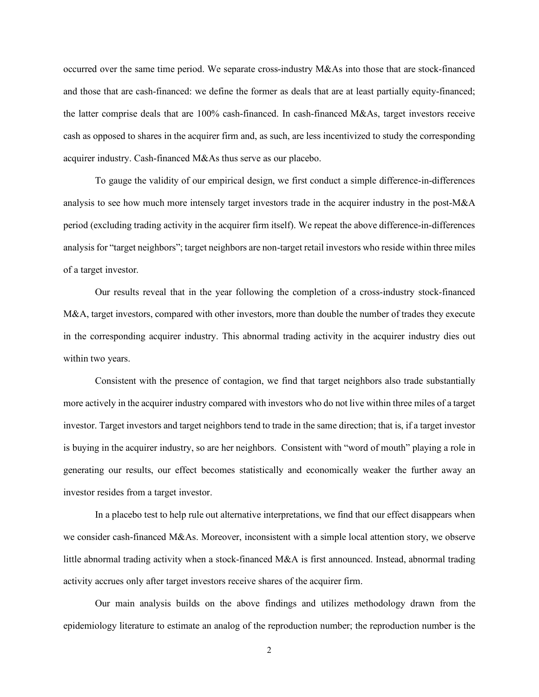occurred over the same time period. We separate cross-industry M&As into those that are stock-financed and those that are cash-financed: we define the former as deals that are at least partially equity-financed; the latter comprise deals that are 100% cash-financed. In cash-financed M&As, target investors receive cash as opposed to shares in the acquirer firm and, as such, are less incentivized to study the corresponding acquirer industry. Cash-financed M&As thus serve as our placebo.

To gauge the validity of our empirical design, we first conduct a simple difference-in-differences analysis to see how much more intensely target investors trade in the acquirer industry in the post-M&A period (excluding trading activity in the acquirer firm itself). We repeat the above difference-in-differences analysis for "target neighbors"; target neighbors are non-target retail investors who reside within three miles of a target investor.

Our results reveal that in the year following the completion of a cross-industry stock-financed M&A, target investors, compared with other investors, more than double the number of trades they execute in the corresponding acquirer industry. This abnormal trading activity in the acquirer industry dies out within two years.

Consistent with the presence of contagion, we find that target neighbors also trade substantially more actively in the acquirer industry compared with investors who do not live within three miles of a target investor. Target investors and target neighbors tend to trade in the same direction; that is, if a target investor is buying in the acquirer industry, so are her neighbors. Consistent with "word of mouth" playing a role in generating our results, our effect becomes statistically and economically weaker the further away an investor resides from a target investor.

In a placebo test to help rule out alternative interpretations, we find that our effect disappears when we consider cash-financed M&As. Moreover, inconsistent with a simple local attention story, we observe little abnormal trading activity when a stock-financed M&A is first announced. Instead, abnormal trading activity accrues only after target investors receive shares of the acquirer firm.

Our main analysis builds on the above findings and utilizes methodology drawn from the epidemiology literature to estimate an analog of the reproduction number; the reproduction number is the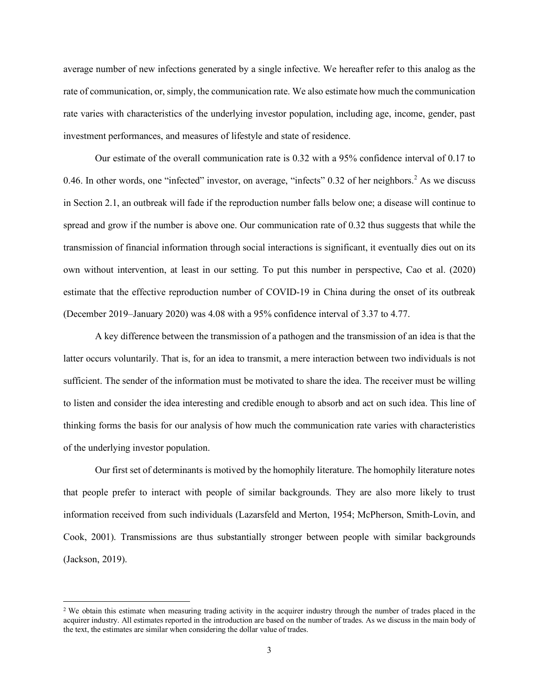average number of new infections generated by a single infective. We hereafter refer to this analog as the rate of communication, or, simply, the communication rate. We also estimate how much the communication rate varies with characteristics of the underlying investor population, including age, income, gender, past investment performances, and measures of lifestyle and state of residence.

Our estimate of the overall communication rate is 0.32 with a 95% confidence interval of 0.17 to 0.46. In other words, one "infected" investor, on average, "infects"  $0.32$  of her neighbors.<sup>2</sup> As we discuss in Section 2.1, an outbreak will fade if the reproduction number falls below one; a disease will continue to spread and grow if the number is above one. Our communication rate of 0.32 thus suggests that while the transmission of financial information through social interactions is significant, it eventually dies out on its own without intervention, at least in our setting. To put this number in perspective, Cao et al. (2020) estimate that the effective reproduction number of COVID-19 in China during the onset of its outbreak (December 2019–January 2020) was 4.08 with a 95% confidence interval of 3.37 to 4.77.

A key difference between the transmission of a pathogen and the transmission of an idea is that the latter occurs voluntarily. That is, for an idea to transmit, a mere interaction between two individuals is not sufficient. The sender of the information must be motivated to share the idea. The receiver must be willing to listen and consider the idea interesting and credible enough to absorb and act on such idea. This line of thinking forms the basis for our analysis of how much the communication rate varies with characteristics of the underlying investor population.

Our first set of determinants is motived by the homophily literature. The homophily literature notes that people prefer to interact with people of similar backgrounds. They are also more likely to trust information received from such individuals (Lazarsfeld and Merton, 1954; McPherson, Smith-Lovin, and Cook, 2001). Transmissions are thus substantially stronger between people with similar backgrounds (Jackson, 2019).

<sup>&</sup>lt;sup>2</sup> We obtain this estimate when measuring trading activity in the acquirer industry through the number of trades placed in the acquirer industry. All estimates reported in the introduction are based on the number of trades. As we discuss in the main body of the text, the estimates are similar when considering the dollar value of trades.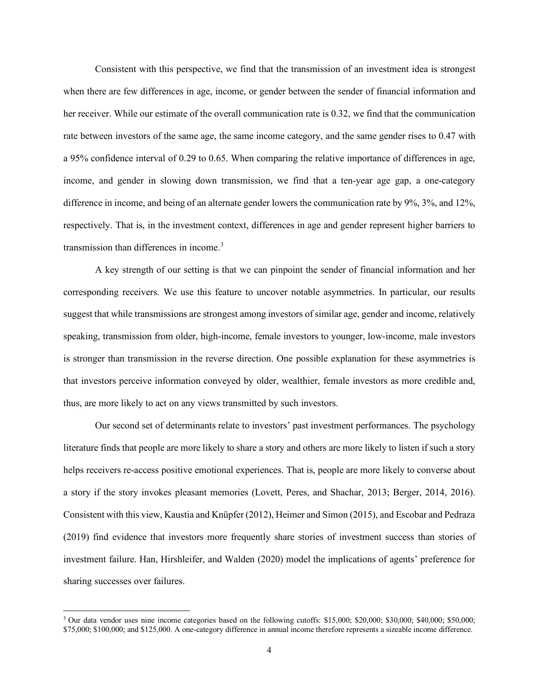Consistent with this perspective, we find that the transmission of an investment idea is strongest when there are few differences in age, income, or gender between the sender of financial information and her receiver. While our estimate of the overall communication rate is 0.32, we find that the communication rate between investors of the same age, the same income category, and the same gender rises to 0.47 with a 95% confidence interval of 0.29 to 0.65. When comparing the relative importance of differences in age, income, and gender in slowing down transmission, we find that a ten-year age gap, a one-category difference in income, and being of an alternate gender lowers the communication rate by 9%, 3%, and 12%, respectively. That is, in the investment context, differences in age and gender represent higher barriers to transmission than differences in income.<sup>3</sup>

A key strength of our setting is that we can pinpoint the sender of financial information and her corresponding receivers. We use this feature to uncover notable asymmetries. In particular, our results suggest that while transmissions are strongest among investors of similar age, gender and income, relatively speaking, transmission from older, high-income, female investors to younger, low-income, male investors is stronger than transmission in the reverse direction. One possible explanation for these asymmetries is that investors perceive information conveyed by older, wealthier, female investors as more credible and, thus, are more likely to act on any views transmitted by such investors.

Our second set of determinants relate to investors' past investment performances. The psychology literature finds that people are more likely to share a story and others are more likely to listen if such a story helps receivers re-access positive emotional experiences. That is, people are more likely to converse about a story if the story invokes pleasant memories (Lovett, Peres, and Shachar, 2013; Berger, 2014, 2016). Consistent with this view, Kaustia and Knüpfer (2012), Heimer and Simon (2015), and Escobar and Pedraza (2019) find evidence that investors more frequently share stories of investment success than stories of investment failure. Han, Hirshleifer, and Walden (2020) model the implications of agents' preference for sharing successes over failures.

<sup>&</sup>lt;sup>3</sup> Our data vendor uses nine income categories based on the following cutoffs: \$15,000; \$20,000; \$30,000; \$40,000; \$50,000; \$75,000; \$100,000; and \$125,000. A one-category difference in annual income therefore represents a sizeable income difference.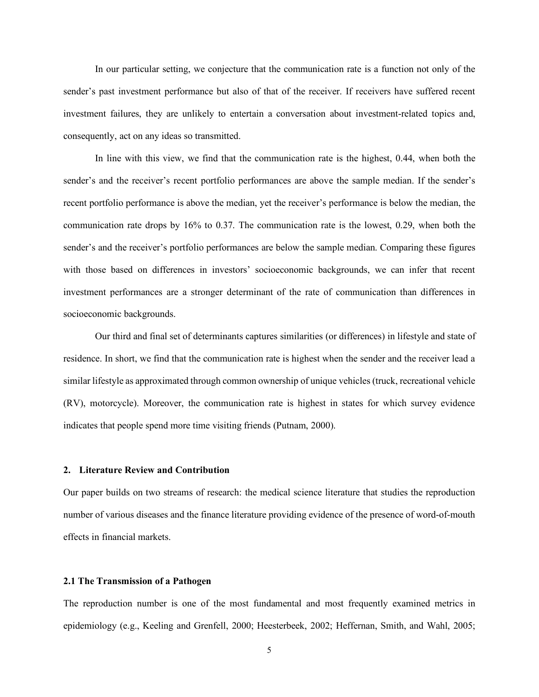In our particular setting, we conjecture that the communication rate is a function not only of the sender's past investment performance but also of that of the receiver. If receivers have suffered recent investment failures, they are unlikely to entertain a conversation about investment-related topics and, consequently, act on any ideas so transmitted.

In line with this view, we find that the communication rate is the highest, 0.44, when both the sender's and the receiver's recent portfolio performances are above the sample median. If the sender's recent portfolio performance is above the median, yet the receiver's performance is below the median, the communication rate drops by 16% to 0.37. The communication rate is the lowest, 0.29, when both the sender's and the receiver's portfolio performances are below the sample median. Comparing these figures with those based on differences in investors' socioeconomic backgrounds, we can infer that recent investment performances are a stronger determinant of the rate of communication than differences in socioeconomic backgrounds.

Our third and final set of determinants captures similarities (or differences) in lifestyle and state of residence. In short, we find that the communication rate is highest when the sender and the receiver lead a similar lifestyle as approximated through common ownership of unique vehicles (truck, recreational vehicle (RV), motorcycle). Moreover, the communication rate is highest in states for which survey evidence indicates that people spend more time visiting friends (Putnam, 2000).

# **2. Literature Review and Contribution**

Our paper builds on two streams of research: the medical science literature that studies the reproduction number of various diseases and the finance literature providing evidence of the presence of word-of-mouth effects in financial markets.

# **2.1 The Transmission of a Pathogen**

The reproduction number is one of the most fundamental and most frequently examined metrics in epidemiology (e.g., Keeling and Grenfell, 2000; Heesterbeek, 2002; Heffernan, Smith, and Wahl, 2005;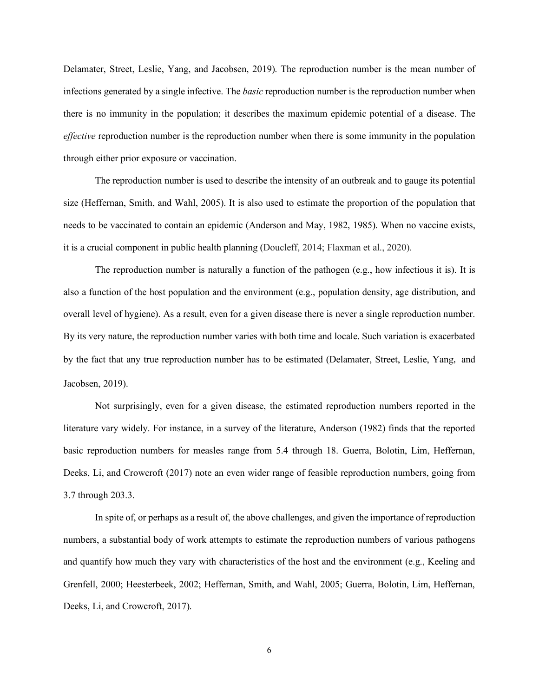Delamater, Street, Leslie, Yang, and Jacobsen, 2019). The reproduction number is the mean number of infections generated by a single infective. The *basic* reproduction number is the reproduction number when there is no immunity in the population; it describes the maximum epidemic potential of a disease. The *effective* reproduction number is the reproduction number when there is some immunity in the population through either prior exposure or vaccination.

The reproduction number is used to describe the intensity of an outbreak and to gauge its potential size (Heffernan, Smith, and Wahl, 2005). It is also used to estimate the proportion of the population that needs to be vaccinated to contain an epidemic (Anderson and May, 1982, 1985). When no vaccine exists, it is a crucial component in public health planning (Doucleff, 2014; Flaxman et al., 2020).

The reproduction number is naturally a function of the pathogen (e.g., how infectious it is). It is also a function of the host population and the environment (e.g., population density, age distribution, and overall level of hygiene). As a result, even for a given disease there is never a single reproduction number. By its very nature, the reproduction number varies with both time and locale. Such variation is exacerbated by the fact that any true reproduction number has to be estimated (Delamater, Street, Leslie, Yang, and Jacobsen, 2019).

Not surprisingly, even for a given disease, the estimated reproduction numbers reported in the literature vary widely. For instance, in a survey of the literature, Anderson (1982) finds that the reported basic reproduction numbers for measles range from 5.4 through 18. Guerra, Bolotin, Lim, Heffernan, Deeks, Li, and Crowcroft (2017) note an even wider range of feasible reproduction numbers, going from 3.7 through 203.3.

In spite of, or perhaps as a result of, the above challenges, and given the importance of reproduction numbers, a substantial body of work attempts to estimate the reproduction numbers of various pathogens and quantify how much they vary with characteristics of the host and the environment (e.g., Keeling and Grenfell, 2000; Heesterbeek, 2002; Heffernan, Smith, and Wahl, 2005; Guerra, Bolotin, Lim, Heffernan, Deeks, Li, and Crowcroft, 2017).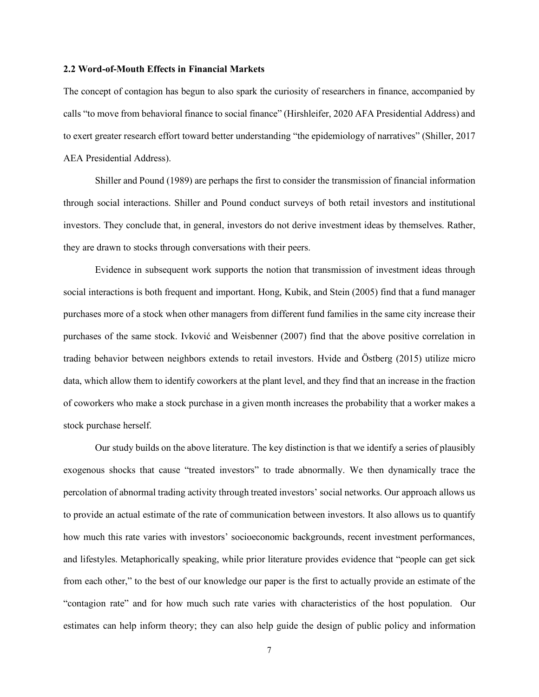## **2.2 Word-of-Mouth Effects in Financial Markets**

The concept of contagion has begun to also spark the curiosity of researchers in finance, accompanied by calls "to move from behavioral finance to social finance" (Hirshleifer, 2020 AFA Presidential Address) and to exert greater research effort toward better understanding "the epidemiology of narratives" (Shiller, 2017 AEA Presidential Address).

Shiller and Pound (1989) are perhaps the first to consider the transmission of financial information through social interactions. Shiller and Pound conduct surveys of both retail investors and institutional investors. They conclude that, in general, investors do not derive investment ideas by themselves. Rather, they are drawn to stocks through conversations with their peers.

Evidence in subsequent work supports the notion that transmission of investment ideas through social interactions is both frequent and important. Hong, Kubik, and Stein (2005) find that a fund manager purchases more of a stock when other managers from different fund families in the same city increase their purchases of the same stock. Ivković and Weisbenner (2007) find that the above positive correlation in trading behavior between neighbors extends to retail investors. Hvide and Östberg (2015) utilize micro data, which allow them to identify coworkers at the plant level, and they find that an increase in the fraction of coworkers who make a stock purchase in a given month increases the probability that a worker makes a stock purchase herself.

Our study builds on the above literature. The key distinction is that we identify a series of plausibly exogenous shocks that cause "treated investors" to trade abnormally. We then dynamically trace the percolation of abnormal trading activity through treated investors' social networks. Our approach allows us to provide an actual estimate of the rate of communication between investors. It also allows us to quantify how much this rate varies with investors' socioeconomic backgrounds, recent investment performances, and lifestyles. Metaphorically speaking, while prior literature provides evidence that "people can get sick from each other," to the best of our knowledge our paper is the first to actually provide an estimate of the "contagion rate" and for how much such rate varies with characteristics of the host population. Our estimates can help inform theory; they can also help guide the design of public policy and information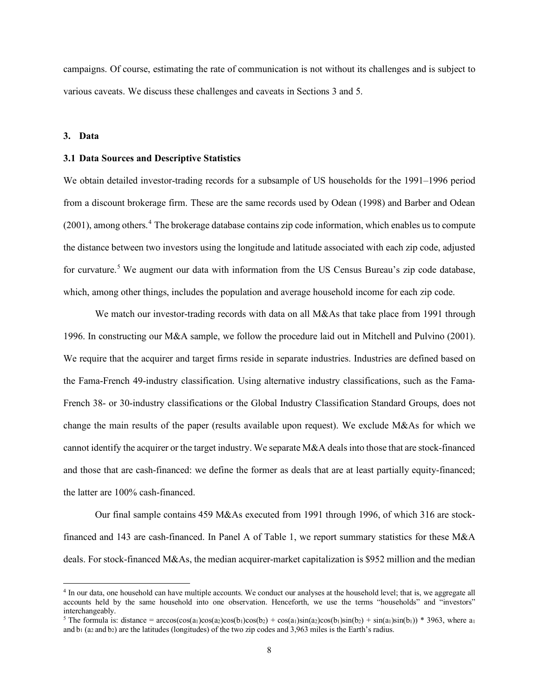campaigns. Of course, estimating the rate of communication is not without its challenges and is subject to various caveats. We discuss these challenges and caveats in Sections 3 and 5.

# **3. Data**

#### **3.1 Data Sources and Descriptive Statistics**

We obtain detailed investor-trading records for a subsample of US households for the 1991–1996 period from a discount brokerage firm. These are the same records used by Odean (1998) and Barber and Odean (2001), among others.<sup>4</sup> The brokerage database contains zip code information, which enables us to compute the distance between two investors using the longitude and latitude associated with each zip code, adjusted for curvature.<sup>5</sup> We augment our data with information from the US Census Bureau's zip code database, which, among other things, includes the population and average household income for each zip code.

We match our investor-trading records with data on all M&As that take place from 1991 through 1996. In constructing our M&A sample, we follow the procedure laid out in Mitchell and Pulvino (2001). We require that the acquirer and target firms reside in separate industries. Industries are defined based on the Fama-French 49-industry classification. Using alternative industry classifications, such as the Fama-French 38- or 30-industry classifications or the Global Industry Classification Standard Groups, does not change the main results of the paper (results available upon request). We exclude M&As for which we cannot identify the acquirer or the target industry. We separate M&A deals into those that are stock-financed and those that are cash-financed: we define the former as deals that are at least partially equity-financed; the latter are 100% cash-financed.

Our final sample contains 459 M&As executed from 1991 through 1996, of which 316 are stockfinanced and 143 are cash-financed. In Panel A of Table 1, we report summary statistics for these M&A deals. For stock-financed M&As, the median acquirer-market capitalization is \$952 million and the median

<sup>4</sup> In our data, one household can have multiple accounts. We conduct our analyses at the household level; that is, we aggregate all accounts held by the same household into one observation. Henceforth, we use the terms "households" and "investors" interchangeably.

<sup>&</sup>lt;sup>5</sup> The formula is: distance =  $\arccos(\cos(a_1)\cos(a_2)\cos(b_1)\cos(b_2) + \cos(a_1)\sin(a_2)\cos(b_1)\sin(b_2) + \sin(a_1)\sin(b_1))$  \* 3963, where a<sub>1</sub> and  $b_1$  (a<sub>2</sub> and  $b_2$ ) are the latitudes (longitudes) of the two zip codes and 3,963 miles is the Earth's radius.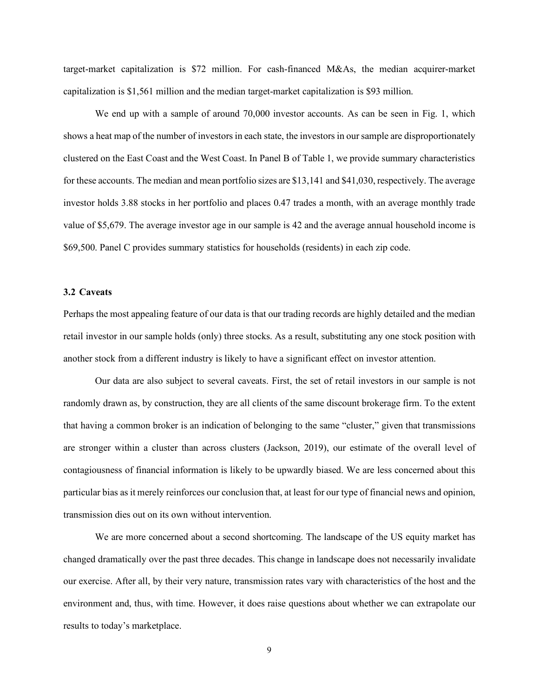target-market capitalization is \$72 million. For cash-financed M&As, the median acquirer-market capitalization is \$1,561 million and the median target-market capitalization is \$93 million.

We end up with a sample of around 70,000 investor accounts. As can be seen in Fig. 1, which shows a heat map of the number of investors in each state, the investors in our sample are disproportionately clustered on the East Coast and the West Coast. In Panel B of Table 1, we provide summary characteristics for these accounts. The median and mean portfolio sizes are \$13,141 and \$41,030, respectively. The average investor holds 3.88 stocks in her portfolio and places 0.47 trades a month, with an average monthly trade value of \$5,679. The average investor age in our sample is 42 and the average annual household income is \$69,500. Panel C provides summary statistics for households (residents) in each zip code.

## **3.2 Caveats**

Perhaps the most appealing feature of our data is that our trading records are highly detailed and the median retail investor in our sample holds (only) three stocks. As a result, substituting any one stock position with another stock from a different industry is likely to have a significant effect on investor attention.

Our data are also subject to several caveats. First, the set of retail investors in our sample is not randomly drawn as, by construction, they are all clients of the same discount brokerage firm. To the extent that having a common broker is an indication of belonging to the same "cluster," given that transmissions are stronger within a cluster than across clusters (Jackson, 2019), our estimate of the overall level of contagiousness of financial information is likely to be upwardly biased. We are less concerned about this particular bias as it merely reinforces our conclusion that, at least for our type of financial news and opinion, transmission dies out on its own without intervention.

We are more concerned about a second shortcoming. The landscape of the US equity market has changed dramatically over the past three decades. This change in landscape does not necessarily invalidate our exercise. After all, by their very nature, transmission rates vary with characteristics of the host and the environment and, thus, with time. However, it does raise questions about whether we can extrapolate our results to today's marketplace.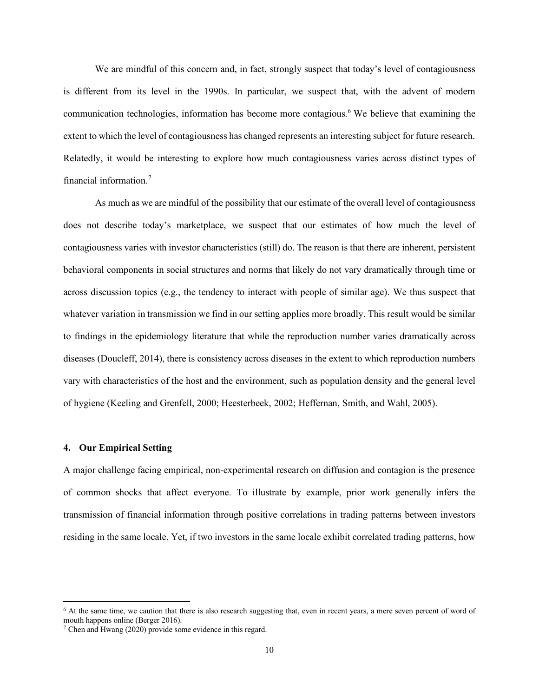We are mindful of this concern and, in fact, strongly suspect that today's level of contagiousness is different from its level in the 1990s. In particular, we suspect that, with the advent of modern communication technologies, information has become more contagious.<sup>6</sup> We believe that examining the extent to which the level of contagiousness has changed represents an interesting subject for future research. Relatedly, it would be interesting to explore how much contagiousness varies across distinct types of financial information.<sup>7</sup>

As much as we are mindful of the possibility that our estimate of the overall level of contagiousness does not describe today's marketplace, we suspect that our estimates of how much the level of contagiousness varies with investor characteristics (still) do. The reason is that there are inherent, persistent behavioral components in social structures and norms that likely do not vary dramatically through time or across discussion topics (e.g., the tendency to interact with people of similar age). We thus suspect that whatever variation in transmission we find in our setting applies more broadly. This result would be similar to findings in the epidemiology literature that while the reproduction number varies dramatically across diseases (Doucleff, 2014), there is consistency across diseases in the extent to which reproduction numbers vary with characteristics of the host and the environment, such as population density and the general level of hygiene (Keeling and Grenfell, 2000; Heesterbeek, 2002; Heffernan, Smith, and Wahl, 2005).

## **4. Our Empirical Setting**

A major challenge facing empirical, non-experimental research on diffusion and contagion is the presence of common shocks that affect everyone. To illustrate by example, prior work generally infers the transmission of financial information through positive correlations in trading patterns between investors residing in the same locale. Yet, if two investors in the same locale exhibit correlated trading patterns, how

<sup>&</sup>lt;sup>6</sup> At the same time, we caution that there is also research suggesting that, even in recent years, a mere seven percent of word of mouth happens online (Berger 2016).

 $7$  Chen and Hwang (2020) provide some evidence in this regard.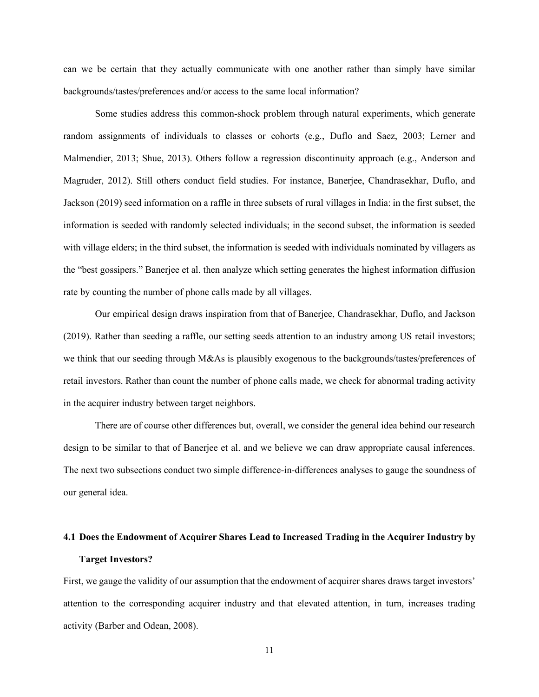can we be certain that they actually communicate with one another rather than simply have similar backgrounds/tastes/preferences and/or access to the same local information?

Some studies address this common-shock problem through natural experiments, which generate random assignments of individuals to classes or cohorts (e.g., Duflo and Saez, 2003; Lerner and Malmendier, 2013; Shue, 2013). Others follow a regression discontinuity approach (e.g., Anderson and Magruder, 2012). Still others conduct field studies. For instance, Banerjee, Chandrasekhar, Duflo, and Jackson (2019) seed information on a raffle in three subsets of rural villages in India: in the first subset, the information is seeded with randomly selected individuals; in the second subset, the information is seeded with village elders; in the third subset, the information is seeded with individuals nominated by villagers as the "best gossipers." Banerjee et al. then analyze which setting generates the highest information diffusion rate by counting the number of phone calls made by all villages.

Our empirical design draws inspiration from that of Banerjee, Chandrasekhar, Duflo, and Jackson (2019). Rather than seeding a raffle, our setting seeds attention to an industry among US retail investors; we think that our seeding through M&As is plausibly exogenous to the backgrounds/tastes/preferences of retail investors. Rather than count the number of phone calls made, we check for abnormal trading activity in the acquirer industry between target neighbors.

There are of course other differences but, overall, we consider the general idea behind our research design to be similar to that of Banerjee et al. and we believe we can draw appropriate causal inferences. The next two subsections conduct two simple difference-in-differences analyses to gauge the soundness of our general idea.

# **4.1 Does the Endowment of Acquirer Shares Lead to Increased Trading in the Acquirer Industry by Target Investors?**

First, we gauge the validity of our assumption that the endowment of acquirer shares draws target investors' attention to the corresponding acquirer industry and that elevated attention, in turn, increases trading activity (Barber and Odean, 2008).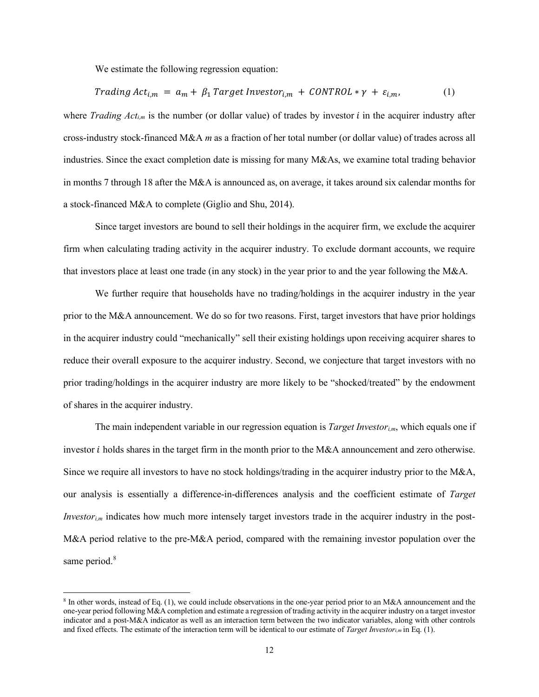We estimate the following regression equation:

$$
Trading Act_{i,m} = a_m + \beta_1 TargetInvestor_{i,m} + CONTROL * \gamma + \varepsilon_{i,m}, \qquad (1)
$$

where *Trading Act<sub>i,m</sub>* is the number (or dollar value) of trades by investor *i* in the acquirer industry after cross-industry stock-financed M&A *m* as a fraction of her total number (or dollar value) of trades across all industries. Since the exact completion date is missing for many M&As, we examine total trading behavior in months 7 through 18 after the M&A is announced as, on average, it takes around six calendar months for a stock-financed M&A to complete (Giglio and Shu, 2014).

Since target investors are bound to sell their holdings in the acquirer firm, we exclude the acquirer firm when calculating trading activity in the acquirer industry. To exclude dormant accounts, we require that investors place at least one trade (in any stock) in the year prior to and the year following the M&A.

We further require that households have no trading/holdings in the acquirer industry in the year prior to the M&A announcement. We do so for two reasons. First, target investors that have prior holdings in the acquirer industry could "mechanically" sell their existing holdings upon receiving acquirer shares to reduce their overall exposure to the acquirer industry. Second, we conjecture that target investors with no prior trading/holdings in the acquirer industry are more likely to be "shocked/treated" by the endowment of shares in the acquirer industry.

The main independent variable in our regression equation is *Target Investori,m*, which equals one if investor *i* holds shares in the target firm in the month prior to the M&A announcement and zero otherwise. Since we require all investors to have no stock holdings/trading in the acquirer industry prior to the M&A, our analysis is essentially a difference-in-differences analysis and the coefficient estimate of *Target Investor<sub>i,m</sub>* indicates how much more intensely target investors trade in the acquirer industry in the post-M&A period relative to the pre-M&A period, compared with the remaining investor population over the same period.<sup>8</sup>

<sup>8</sup> In other words, instead of Eq. (1), we could include observations in the one-year period prior to an M&A announcement and the one-year period following M&A completion and estimate a regression of trading activity in the acquirer industry on a target investor indicator and a post-M&A indicator as well as an interaction term between the two indicator variables, along with other controls and fixed effects. The estimate of the interaction term will be identical to our estimate of *Target Investori,m* in Eq. (1).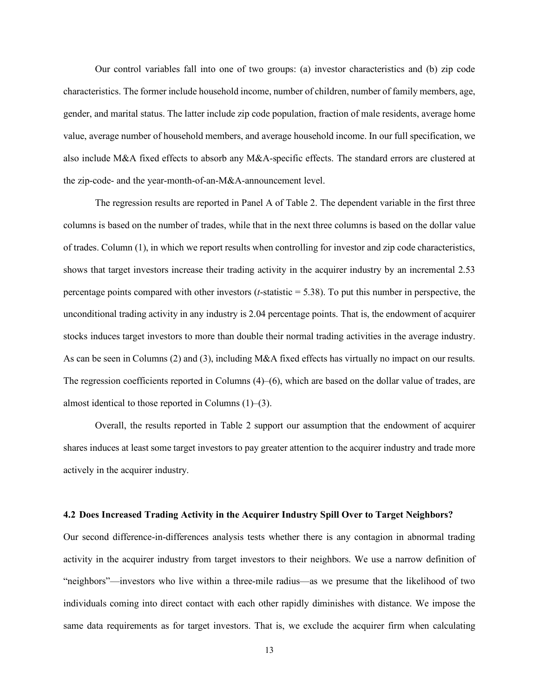Our control variables fall into one of two groups: (a) investor characteristics and (b) zip code characteristics. The former include household income, number of children, number of family members, age, gender, and marital status. The latter include zip code population, fraction of male residents, average home value, average number of household members, and average household income. In our full specification, we also include M&A fixed effects to absorb any M&A-specific effects. The standard errors are clustered at the zip-code- and the year-month-of-an-M&A-announcement level.

The regression results are reported in Panel A of Table 2. The dependent variable in the first three columns is based on the number of trades, while that in the next three columns is based on the dollar value of trades. Column (1), in which we report results when controlling for investor and zip code characteristics, shows that target investors increase their trading activity in the acquirer industry by an incremental 2.53 percentage points compared with other investors (*t*-statistic = 5.38). To put this number in perspective, the unconditional trading activity in any industry is 2.04 percentage points. That is, the endowment of acquirer stocks induces target investors to more than double their normal trading activities in the average industry. As can be seen in Columns (2) and (3), including M&A fixed effects has virtually no impact on our results. The regression coefficients reported in Columns (4)–(6), which are based on the dollar value of trades, are almost identical to those reported in Columns (1)–(3).

Overall, the results reported in Table 2 support our assumption that the endowment of acquirer shares induces at least some target investors to pay greater attention to the acquirer industry and trade more actively in the acquirer industry.

#### **4.2 Does Increased Trading Activity in the Acquirer Industry Spill Over to Target Neighbors?**

Our second difference-in-differences analysis tests whether there is any contagion in abnormal trading activity in the acquirer industry from target investors to their neighbors. We use a narrow definition of "neighbors"—investors who live within a three-mile radius—as we presume that the likelihood of two individuals coming into direct contact with each other rapidly diminishes with distance. We impose the same data requirements as for target investors. That is, we exclude the acquirer firm when calculating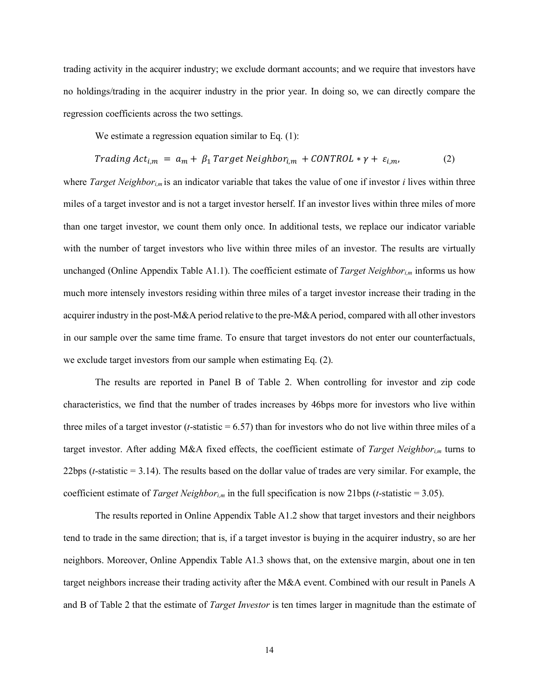trading activity in the acquirer industry; we exclude dormant accounts; and we require that investors have no holdings/trading in the acquirer industry in the prior year. In doing so, we can directly compare the regression coefficients across the two settings.

We estimate a regression equation similar to Eq. (1):

$$
Trading Act_{i,m} = a_m + \beta_1 Target Neighbour_{i,m} + CONTROL * \gamma + \varepsilon_{i,m}, \qquad (2)
$$

where *Target Neighbori,m* is an indicator variable that takes the value of one if investor *i* lives within three miles of a target investor and is not a target investor herself. If an investor lives within three miles of more than one target investor, we count them only once. In additional tests, we replace our indicator variable with the number of target investors who live within three miles of an investor. The results are virtually unchanged (Online Appendix Table A1.1). The coefficient estimate of *Target Neighbor<sub>im</sub>* informs us how much more intensely investors residing within three miles of a target investor increase their trading in the acquirer industry in the post-M&A period relative to the pre-M&A period, compared with all other investors in our sample over the same time frame. To ensure that target investors do not enter our counterfactuals, we exclude target investors from our sample when estimating Eq. (2).

The results are reported in Panel B of Table 2. When controlling for investor and zip code characteristics, we find that the number of trades increases by 46bps more for investors who live within three miles of a target investor ( $t$ -statistic  $= 6.57$ ) than for investors who do not live within three miles of a target investor. After adding M&A fixed effects, the coefficient estimate of *Target Neighbori,m* turns to 22bps (*t*-statistic = 3.14). The results based on the dollar value of trades are very similar. For example, the coefficient estimate of *Target Neighbori,m* in the full specification is now 21bps (*t*-statistic = 3.05).

The results reported in Online Appendix Table A1.2 show that target investors and their neighbors tend to trade in the same direction; that is, if a target investor is buying in the acquirer industry, so are her neighbors. Moreover, Online Appendix Table A1.3 shows that, on the extensive margin, about one in ten target neighbors increase their trading activity after the M&A event. Combined with our result in Panels A and B of Table 2 that the estimate of *Target Investor* is ten times larger in magnitude than the estimate of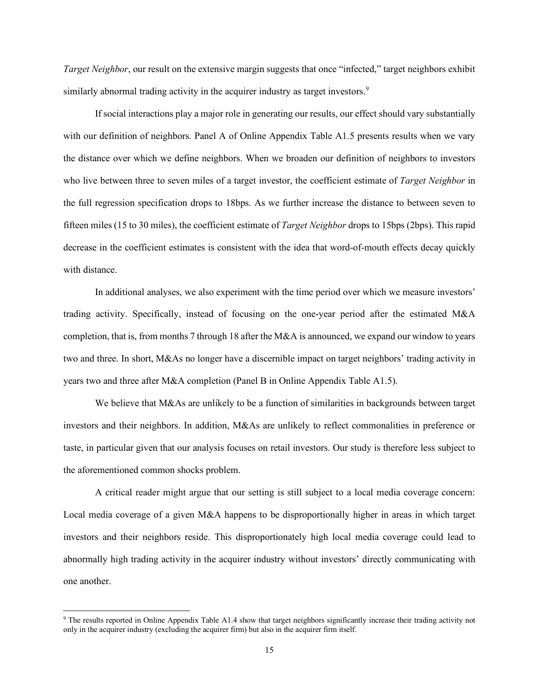*Target Neighbor*, our result on the extensive margin suggests that once "infected," target neighbors exhibit similarly abnormal trading activity in the acquirer industry as target investors.<sup>9</sup>

If social interactions play a major role in generating our results, our effect should vary substantially with our definition of neighbors. Panel A of Online Appendix Table A1.5 presents results when we vary the distance over which we define neighbors. When we broaden our definition of neighbors to investors who live between three to seven miles of a target investor, the coefficient estimate of *Target Neighbor* in the full regression specification drops to 18bps. As we further increase the distance to between seven to fifteen miles (15 to 30 miles), the coefficient estimate of *Target Neighbor* drops to 15bps (2bps). This rapid decrease in the coefficient estimates is consistent with the idea that word-of-mouth effects decay quickly with distance.

In additional analyses, we also experiment with the time period over which we measure investors' trading activity. Specifically, instead of focusing on the one-year period after the estimated M&A completion, that is, from months 7 through 18 after the M&A is announced, we expand our window to years two and three. In short, M&As no longer have a discernible impact on target neighbors' trading activity in years two and three after M&A completion (Panel B in Online Appendix Table A1.5).

We believe that M&As are unlikely to be a function of similarities in backgrounds between target investors and their neighbors. In addition, M&As are unlikely to reflect commonalities in preference or taste, in particular given that our analysis focuses on retail investors. Our study is therefore less subject to the aforementioned common shocks problem.

A critical reader might argue that our setting is still subject to a local media coverage concern: Local media coverage of a given M&A happens to be disproportionally higher in areas in which target investors and their neighbors reside. This disproportionately high local media coverage could lead to abnormally high trading activity in the acquirer industry without investors' directly communicating with one another.

<sup>9</sup> The results reported in Online Appendix Table A1.4 show that target neighbors significantly increase their trading activity not only in the acquirer industry (excluding the acquirer firm) but also in the acquirer firm itself.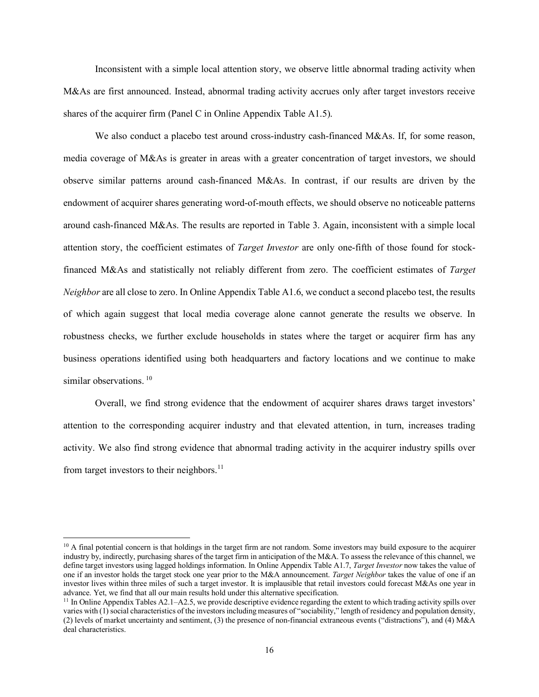Inconsistent with a simple local attention story, we observe little abnormal trading activity when M&As are first announced. Instead, abnormal trading activity accrues only after target investors receive shares of the acquirer firm (Panel C in Online Appendix Table A1.5).

We also conduct a placebo test around cross-industry cash-financed M&As. If, for some reason, media coverage of M&As is greater in areas with a greater concentration of target investors, we should observe similar patterns around cash-financed M&As. In contrast, if our results are driven by the endowment of acquirer shares generating word-of-mouth effects, we should observe no noticeable patterns around cash-financed M&As. The results are reported in Table 3. Again, inconsistent with a simple local attention story, the coefficient estimates of *Target Investor* are only one-fifth of those found for stockfinanced M&As and statistically not reliably different from zero. The coefficient estimates of *Target Neighbor* are all close to zero. In Online Appendix Table A1.6, we conduct a second placebo test, the results of which again suggest that local media coverage alone cannot generate the results we observe. In robustness checks, we further exclude households in states where the target or acquirer firm has any business operations identified using both headquarters and factory locations and we continue to make similar observations.<sup>10</sup>

Overall, we find strong evidence that the endowment of acquirer shares draws target investors' attention to the corresponding acquirer industry and that elevated attention, in turn, increases trading activity. We also find strong evidence that abnormal trading activity in the acquirer industry spills over from target investors to their neighbors.<sup>11</sup>

 $10$  A final potential concern is that holdings in the target firm are not random. Some investors may build exposure to the acquirer industry by, indirectly, purchasing shares of the target firm in anticipation of the M&A. To assess the relevance of this channel, we define target investors using lagged holdings information. In Online Appendix Table A1.7, *Target Investor* now takes the value of one if an investor holds the target stock one year prior to the M&A announcement. *Target Neighbor* takes the value of one if an investor lives within three miles of such a target investor. It is implausible that retail investors could forecast M&As one year in advance. Yet, we find that all our main results hold under this alternative specification.

 $<sup>11</sup>$  In Online Appendix Tables A2.1–A2.5, we provide descriptive evidence regarding the extent to which trading activity spills over</sup> varies with (1) social characteristics of the investors including measures of "sociability," length of residency and population density, (2) levels of market uncertainty and sentiment, (3) the presence of non-financial extraneous events ("distractions"), and (4) M&A deal characteristics.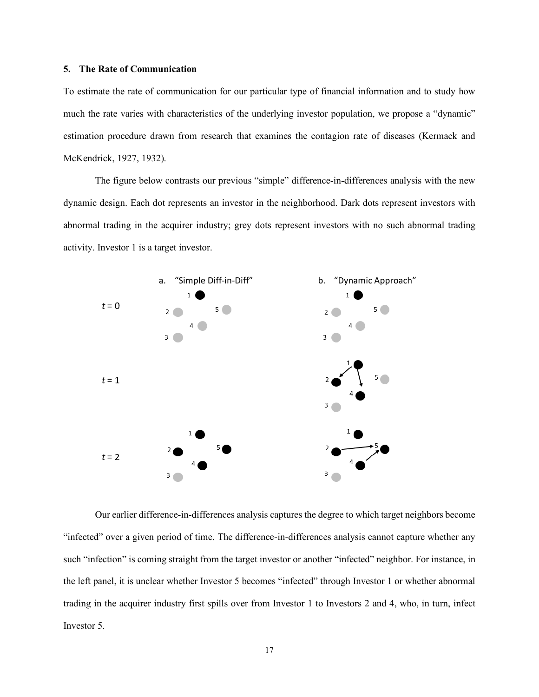# **5. The Rate of Communication**

To estimate the rate of communication for our particular type of financial information and to study how much the rate varies with characteristics of the underlying investor population, we propose a "dynamic" estimation procedure drawn from research that examines the contagion rate of diseases (Kermack and McKendrick, 1927, 1932).

The figure below contrasts our previous "simple" difference-in-differences analysis with the new dynamic design. Each dot represents an investor in the neighborhood. Dark dots represent investors with abnormal trading in the acquirer industry; grey dots represent investors with no such abnormal trading activity. Investor 1 is a target investor.



Our earlier difference-in-differences analysis captures the degree to which target neighbors become "infected" over a given period of time. The difference-in-differences analysis cannot capture whether any such "infection" is coming straight from the target investor or another "infected" neighbor. For instance, in the left panel, it is unclear whether Investor 5 becomes "infected" through Investor 1 or whether abnormal trading in the acquirer industry first spills over from Investor 1 to Investors 2 and 4, who, in turn, infect Investor 5.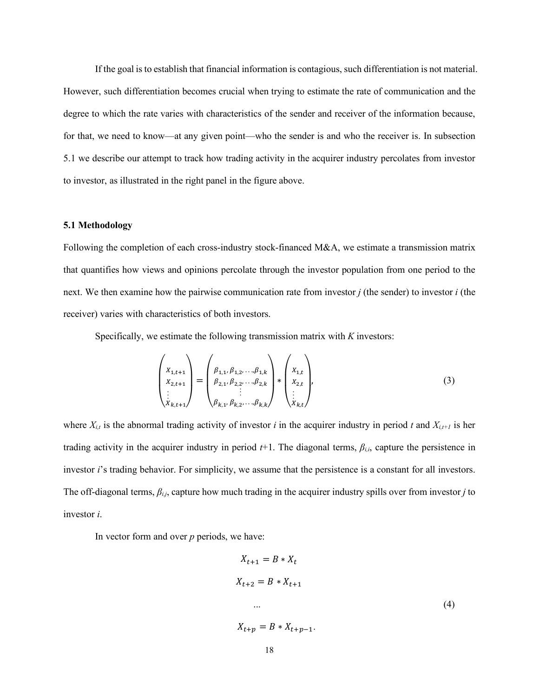If the goal is to establish that financial information is contagious, such differentiation is not material. However, such differentiation becomes crucial when trying to estimate the rate of communication and the degree to which the rate varies with characteristics of the sender and receiver of the information because, for that, we need to know—at any given point—who the sender is and who the receiver is. In subsection 5.1 we describe our attempt to track how trading activity in the acquirer industry percolates from investor to investor, as illustrated in the right panel in the figure above.

## **5.1 Methodology**

Following the completion of each cross-industry stock-financed M&A, we estimate a transmission matrix that quantifies how views and opinions percolate through the investor population from one period to the next. We then examine how the pairwise communication rate from investor *j* (the sender) to investor *i* (the receiver) varies with characteristics of both investors.

Specifically, we estimate the following transmission matrix with *K* investors:

$$
\begin{pmatrix} x_{1,t+1} \\ x_{2,t+1} \\ \vdots \\ x_{k,t+1} \end{pmatrix} = \begin{pmatrix} \beta_{1,1}, \beta_{1,2}, \dots, \beta_{1,k} \\ \beta_{2,1}, \beta_{2,2}, \dots, \beta_{2,k} \\ \vdots \\ \beta_{k,1}, \beta_{k,2}, \dots, \beta_{k,k} \end{pmatrix} * \begin{pmatrix} x_{1,t} \\ x_{2,t} \\ \vdots \\ x_{k,t} \end{pmatrix},
$$
\n(3)

where  $X_{i,t}$  is the abnormal trading activity of investor *i* in the acquirer industry in period *t* and  $X_{i,t+1}$  is her trading activity in the acquirer industry in period  $t+1$ . The diagonal terms,  $\beta_{i,i}$ , capture the persistence in investor *i*'s trading behavior. For simplicity, we assume that the persistence is a constant for all investors. The off-diagonal terms, *βi,j*, capture how much trading in the acquirer industry spills over from investor *j* to investor *i*.

In vector form and over *p* periods, we have:

$$
X_{t+1} = B * X_t
$$
  
\n
$$
X_{t+2} = B * X_{t+1}
$$
  
\n... (4)  
\n
$$
X_{t+p} = B * X_{t+p-1}.
$$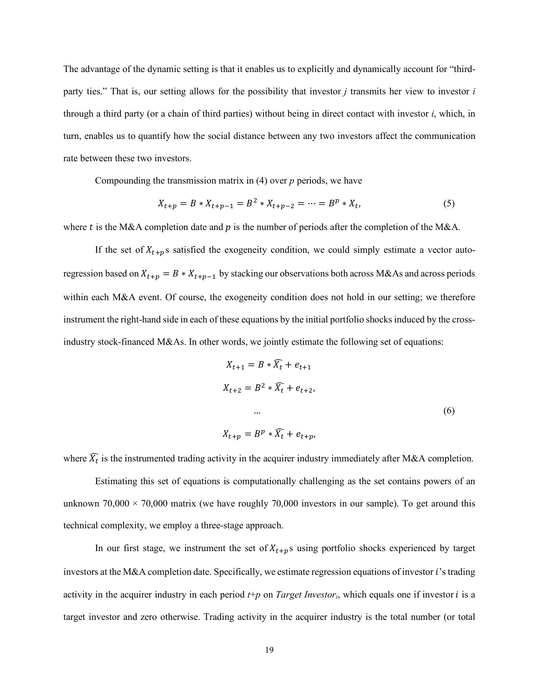The advantage of the dynamic setting is that it enables us to explicitly and dynamically account for "thirdparty ties." That is, our setting allows for the possibility that investor *j* transmits her view to investor *i* through a third party (or a chain of third parties) without being in direct contact with investor *i*, which, in turn, enables us to quantify how the social distance between any two investors affect the communication rate between these two investors.

Compounding the transmission matrix in (4) over *p* periods, we have

$$
X_{t+p} = B * X_{t+p-1} = B^2 * X_{t+p-2} = \dots = B^p * X_t,
$$
\n<sup>(5)</sup>

where t is the M&A completion date and  $p$  is the number of periods after the completion of the M&A.

If the set of  $X_{t+p}$ s satisfied the exogeneity condition, we could simply estimate a vector autoregression based on  $X_{t+p} = B * X_{t+p-1}$  by stacking our observations both across M&As and across periods within each M&A event. Of course, the exogeneity condition does not hold in our setting; we therefore instrument the right-hand side in each of these equations by the initial portfolio shocks induced by the crossindustry stock-financed M&As. In other words, we jointly estimate the following set of equations:

$$
X_{t+1} = B * \tilde{X}_t + e_{t+1}
$$
  
\n
$$
X_{t+2} = B^2 * \tilde{X}_t + e_{t+2},
$$
  
\n...  
\n
$$
X_{t+p} = B^p * \tilde{X}_t + e_{t+p},
$$
  
\n(6)

where  $\widehat{X_t}$  is the instrumented trading activity in the acquirer industry immediately after M&A completion.

Estimating this set of equations is computationally challenging as the set contains powers of an unknown  $70,000 \times 70,000$  matrix (we have roughly  $70,000$  investors in our sample). To get around this technical complexity, we employ a three-stage approach.

In our first stage, we instrument the set of  $X_{t+p}$ s using portfolio shocks experienced by target investors at the M&A completion date. Specifically, we estimate regression equations of investor *i*'s trading activity in the acquirer industry in each period  $t+p$  on *Target Investor<sub>i</sub>*, which equals one if investor  $i$  is a target investor and zero otherwise. Trading activity in the acquirer industry is the total number (or total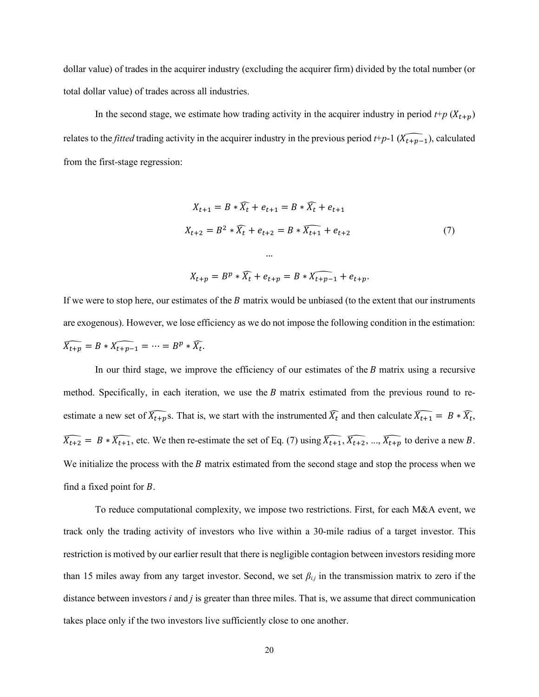dollar value) of trades in the acquirer industry (excluding the acquirer firm) divided by the total number (or total dollar value) of trades across all industries.

In the second stage, we estimate how trading activity in the acquirer industry in period  $t + p(X_{t+p})$ relates to the *fitted* trading activity in the acquirer industry in the previous period  $t+p-1$  ( $\widehat{X_{t+p-1}}$ ), calculated from the first-stage regression:

$$
X_{t+1} = B * \widehat{X}_t + e_{t+1} = B * \widehat{X}_t + e_{t+1}
$$
  
\n
$$
X_{t+2} = B^2 * \widehat{X}_t + e_{t+2} = B * \widehat{X}_{t+1} + e_{t+2}
$$
  
\n...  
\n
$$
X_{t+p} = B^p * \widehat{X}_t + e_{t+p} = B * \widehat{X}_{t+p-1} + e_{t+p}.
$$
  
\n(7)

If we were to stop here, our estimates of the  $B$  matrix would be unbiased (to the extent that our instruments are exogenous). However, we lose efficiency as we do not impose the following condition in the estimation:  $\overline{X}_{t+p} = B * \overline{X}_{t+p-1} = \cdots = B^p * \overline{X}_t.$ 

In our third stage, we improve the efficiency of our estimates of the  $B$  matrix using a recursive method. Specifically, in each iteration, we use the  $B$  matrix estimated from the previous round to reestimate a new set of  $\overline{X}_{t+p}$ s. That is, we start with the instrumented  $\overline{X}_t$  and then calculate  $\overline{X}_{t+1} = B * \overline{X}_t$ ,  $\overline{X_{t+2}} = B * \overline{X_{t+1}}$ , etc. We then re-estimate the set of Eq. (7) using  $\overline{X_{t+1}}, \overline{X_{t+2}}, ..., \overline{X_{t+p}}$  to derive a new B. We initialize the process with the  $B$  matrix estimated from the second stage and stop the process when we find a fixed point for  $B$ .

To reduce computational complexity, we impose two restrictions. First, for each M&A event, we track only the trading activity of investors who live within a 30-mile radius of a target investor. This restriction is motived by our earlier result that there is negligible contagion between investors residing more than 15 miles away from any target investor. Second, we set *βi,j* in the transmission matrix to zero if the distance between investors *i* and *j* is greater than three miles. That is, we assume that direct communication takes place only if the two investors live sufficiently close to one another.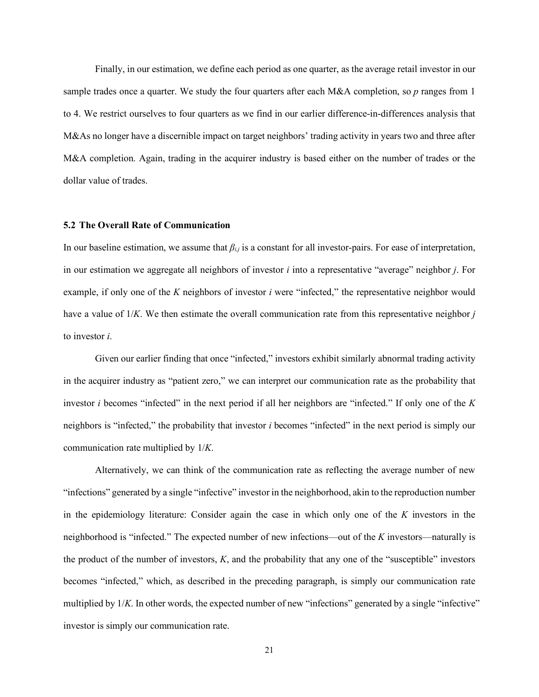Finally, in our estimation, we define each period as one quarter, as the average retail investor in our sample trades once a quarter. We study the four quarters after each M&A completion, so *p* ranges from 1 to 4. We restrict ourselves to four quarters as we find in our earlier difference-in-differences analysis that M&As no longer have a discernible impact on target neighbors' trading activity in years two and three after M&A completion. Again, trading in the acquirer industry is based either on the number of trades or the dollar value of trades.

## **5.2 The Overall Rate of Communication**

In our baseline estimation, we assume that *βi,j* is a constant for all investor-pairs. For ease of interpretation, in our estimation we aggregate all neighbors of investor *i* into a representative "average" neighbor *j*. For example, if only one of the *K* neighbors of investor *i* were "infected," the representative neighbor would have a value of 1/*K*. We then estimate the overall communication rate from this representative neighbor *j* to investor *i*.

Given our earlier finding that once "infected," investors exhibit similarly abnormal trading activity in the acquirer industry as "patient zero," we can interpret our communication rate as the probability that investor *i* becomes "infected" in the next period if all her neighbors are "infected." If only one of the *K* neighbors is "infected," the probability that investor *i* becomes "infected" in the next period is simply our communication rate multiplied by 1/*K*.

Alternatively, we can think of the communication rate as reflecting the average number of new "infections" generated by a single "infective" investor in the neighborhood, akin to the reproduction number in the epidemiology literature: Consider again the case in which only one of the *K* investors in the neighborhood is "infected." The expected number of new infections—out of the *K* investors—naturally is the product of the number of investors, *K*, and the probability that any one of the "susceptible" investors becomes "infected," which, as described in the preceding paragraph, is simply our communication rate multiplied by 1/*K*. In other words, the expected number of new "infections" generated by a single "infective" investor is simply our communication rate.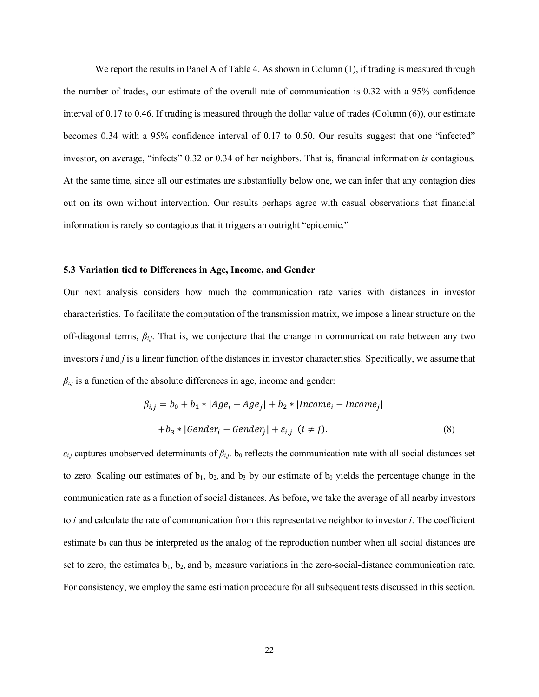We report the results in Panel A of Table 4. As shown in Column  $(1)$ , if trading is measured through the number of trades, our estimate of the overall rate of communication is 0.32 with a 95% confidence interval of 0.17 to 0.46. If trading is measured through the dollar value of trades (Column (6)), our estimate becomes 0.34 with a 95% confidence interval of 0.17 to 0.50. Our results suggest that one "infected" investor, on average, "infects" 0.32 or 0.34 of her neighbors. That is, financial information *is* contagious. At the same time, since all our estimates are substantially below one, we can infer that any contagion dies out on its own without intervention. Our results perhaps agree with casual observations that financial information is rarely so contagious that it triggers an outright "epidemic."

#### **5.3 Variation tied to Differences in Age, Income, and Gender**

Our next analysis considers how much the communication rate varies with distances in investor characteristics. To facilitate the computation of the transmission matrix, we impose a linear structure on the off-diagonal terms, *βi,j*. That is, we conjecture that the change in communication rate between any two investors *i* and *j* is a linear function of the distances in investor characteristics. Specifically, we assume that  $\beta_{i,j}$  is a function of the absolute differences in age, income and gender:

$$
\beta_{i,j} = b_0 + b_1 * |Age_i - Age_j| + b_2 * | Income_i - Income_j|
$$
  
+
$$
b_3 * |Generator_i - Generate_j| + \varepsilon_{i,j} \ (i \neq j).
$$
 (8)

 $\varepsilon_{i,j}$  captures unobserved determinants of  $\beta_{i,j}$ . b<sub>0</sub> reflects the communication rate with all social distances set to zero. Scaling our estimates of  $b_1$ ,  $b_2$ , and  $b_3$  by our estimate of  $b_0$  yields the percentage change in the communication rate as a function of social distances. As before, we take the average of all nearby investors to *i* and calculate the rate of communication from this representative neighbor to investor *i*. The coefficient estimate  $b_0$  can thus be interpreted as the analog of the reproduction number when all social distances are set to zero; the estimates  $b_1$ ,  $b_2$ , and  $b_3$  measure variations in the zero-social-distance communication rate. For consistency, we employ the same estimation procedure for all subsequent tests discussed in this section.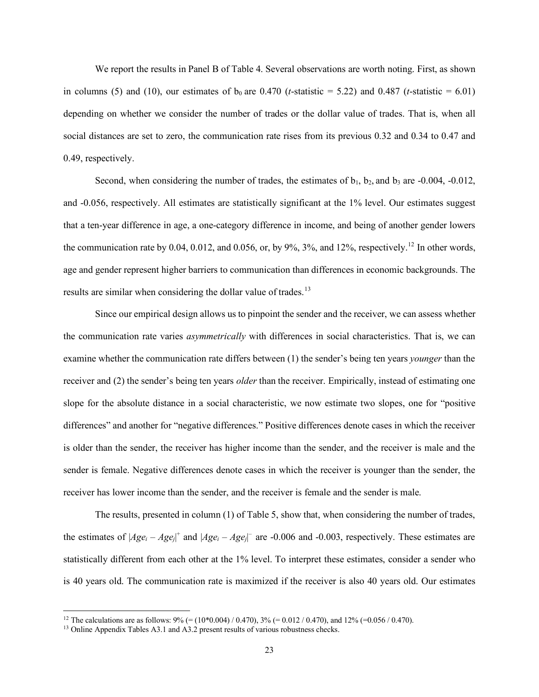We report the results in Panel B of Table 4. Several observations are worth noting. First, as shown in columns (5) and (10), our estimates of  $b_0$  are 0.470 (*t*-statistic = 5.22) and 0.487 (*t*-statistic = 6.01) depending on whether we consider the number of trades or the dollar value of trades. That is, when all social distances are set to zero, the communication rate rises from its previous 0.32 and 0.34 to 0.47 and 0.49, respectively.

Second, when considering the number of trades, the estimates of  $b_1$ ,  $b_2$ , and  $b_3$  are -0.004, -0.012, and -0.056, respectively. All estimates are statistically significant at the 1% level. Our estimates suggest that a ten-year difference in age, a one-category difference in income, and being of another gender lowers the communication rate by 0.04, 0.012, and 0.056, or, by 9%, 3%, and 12%, respectively.<sup>12</sup> In other words, age and gender represent higher barriers to communication than differences in economic backgrounds. The results are similar when considering the dollar value of trades.<sup>13</sup>

Since our empirical design allows us to pinpoint the sender and the receiver, we can assess whether the communication rate varies *asymmetrically* with differences in social characteristics. That is, we can examine whether the communication rate differs between (1) the sender's being ten years *younger* than the receiver and (2) the sender's being ten years *older* than the receiver. Empirically, instead of estimating one slope for the absolute distance in a social characteristic, we now estimate two slopes, one for "positive differences" and another for "negative differences." Positive differences denote cases in which the receiver is older than the sender, the receiver has higher income than the sender, and the receiver is male and the sender is female. Negative differences denote cases in which the receiver is younger than the sender, the receiver has lower income than the sender, and the receiver is female and the sender is male.

The results, presented in column (1) of Table 5, show that, when considering the number of trades, the estimates of  $|Age_i - Age_j|$ <sup>+</sup> and  $|Age_i - Age_j|$ <sup>-</sup> are -0.006 and -0.003, respectively. These estimates are statistically different from each other at the 1% level. To interpret these estimates, consider a sender who is 40 years old. The communication rate is maximized if the receiver is also 40 years old. Our estimates

<sup>&</sup>lt;sup>12</sup> The calculations are as follows:  $9\%$  (= (10\*0.004) / 0.470), 3% (= 0.012 / 0.470), and 12% (=0.056 / 0.470).

<sup>&</sup>lt;sup>13</sup> Online Appendix Tables A3.1 and A3.2 present results of various robustness checks.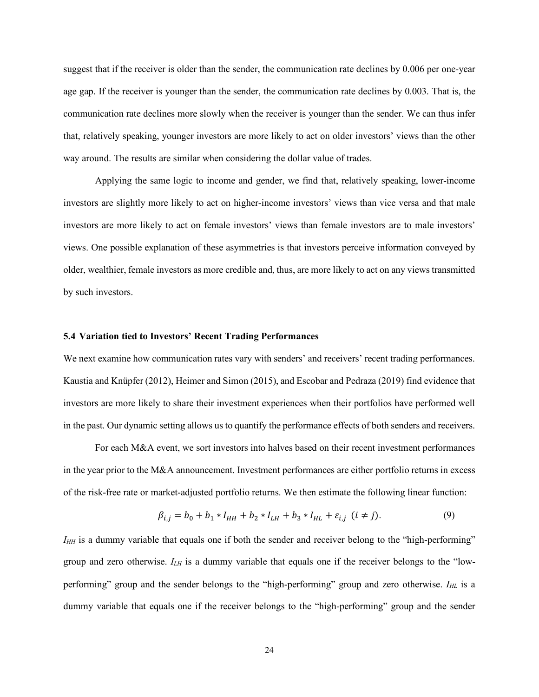suggest that if the receiver is older than the sender, the communication rate declines by 0.006 per one-year age gap. If the receiver is younger than the sender, the communication rate declines by 0.003. That is, the communication rate declines more slowly when the receiver is younger than the sender. We can thus infer that, relatively speaking, younger investors are more likely to act on older investors' views than the other way around. The results are similar when considering the dollar value of trades.

Applying the same logic to income and gender, we find that, relatively speaking, lower-income investors are slightly more likely to act on higher-income investors' views than vice versa and that male investors are more likely to act on female investors' views than female investors are to male investors' views. One possible explanation of these asymmetries is that investors perceive information conveyed by older, wealthier, female investors as more credible and, thus, are more likely to act on any views transmitted by such investors.

## **5.4 Variation tied to Investors' Recent Trading Performances**

We next examine how communication rates vary with senders' and receivers' recent trading performances. Kaustia and Knüpfer (2012), Heimer and Simon (2015), and Escobar and Pedraza (2019) find evidence that investors are more likely to share their investment experiences when their portfolios have performed well in the past. Our dynamic setting allows us to quantify the performance effects of both senders and receivers.

For each M&A event, we sort investors into halves based on their recent investment performances in the year prior to the M&A announcement. Investment performances are either portfolio returns in excess of the risk-free rate or market-adjusted portfolio returns. We then estimate the following linear function:

$$
\beta_{i,j} = b_0 + b_1 * I_{HH} + b_2 * I_{LH} + b_3 * I_{HL} + \varepsilon_{i,j} \ (i \neq j). \tag{9}
$$

*I<sub>HH</sub>* is a dummy variable that equals one if both the sender and receiver belong to the "high-performing" group and zero otherwise. *ILH* is a dummy variable that equals one if the receiver belongs to the "lowperforming" group and the sender belongs to the "high-performing" group and zero otherwise. *I<sub>HL</sub>* is a dummy variable that equals one if the receiver belongs to the "high-performing" group and the sender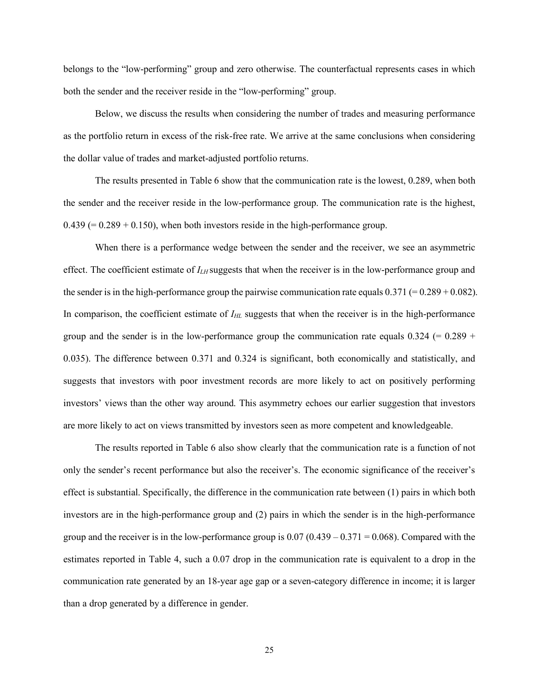belongs to the "low-performing" group and zero otherwise. The counterfactual represents cases in which both the sender and the receiver reside in the "low-performing" group.

Below, we discuss the results when considering the number of trades and measuring performance as the portfolio return in excess of the risk-free rate. We arrive at the same conclusions when considering the dollar value of trades and market-adjusted portfolio returns.

The results presented in Table 6 show that the communication rate is the lowest, 0.289, when both the sender and the receiver reside in the low-performance group. The communication rate is the highest,  $0.439 (= 0.289 + 0.150)$ , when both investors reside in the high-performance group.

When there is a performance wedge between the sender and the receiver, we see an asymmetric effect. The coefficient estimate of *ILH* suggests that when the receiver is in the low-performance group and the sender is in the high-performance group the pairwise communication rate equals  $0.371 (= 0.289 + 0.082)$ . In comparison, the coefficient estimate of *I<sub>HL</sub>* suggests that when the receiver is in the high-performance group and the sender is in the low-performance group the communication rate equals  $0.324$  (=  $0.289$  + 0.035). The difference between 0.371 and 0.324 is significant, both economically and statistically, and suggests that investors with poor investment records are more likely to act on positively performing investors' views than the other way around. This asymmetry echoes our earlier suggestion that investors are more likely to act on views transmitted by investors seen as more competent and knowledgeable.

The results reported in Table 6 also show clearly that the communication rate is a function of not only the sender's recent performance but also the receiver's. The economic significance of the receiver's effect is substantial. Specifically, the difference in the communication rate between (1) pairs in which both investors are in the high-performance group and (2) pairs in which the sender is in the high-performance group and the receiver is in the low-performance group is  $0.07 (0.439 - 0.371 = 0.068)$ . Compared with the estimates reported in Table 4, such a 0.07 drop in the communication rate is equivalent to a drop in the communication rate generated by an 18-year age gap or a seven-category difference in income; it is larger than a drop generated by a difference in gender.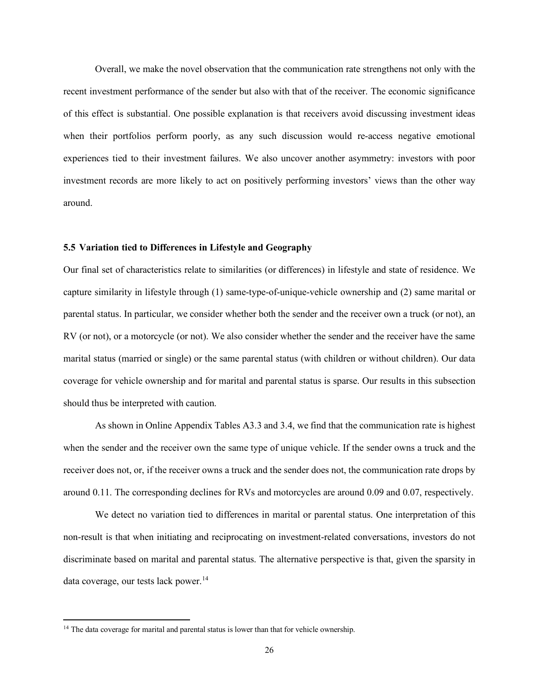Overall, we make the novel observation that the communication rate strengthens not only with the recent investment performance of the sender but also with that of the receiver. The economic significance of this effect is substantial. One possible explanation is that receivers avoid discussing investment ideas when their portfolios perform poorly, as any such discussion would re-access negative emotional experiences tied to their investment failures. We also uncover another asymmetry: investors with poor investment records are more likely to act on positively performing investors' views than the other way around.

# **5.5 Variation tied to Differences in Lifestyle and Geography**

Our final set of characteristics relate to similarities (or differences) in lifestyle and state of residence. We capture similarity in lifestyle through (1) same-type-of-unique-vehicle ownership and (2) same marital or parental status. In particular, we consider whether both the sender and the receiver own a truck (or not), an RV (or not), or a motorcycle (or not). We also consider whether the sender and the receiver have the same marital status (married or single) or the same parental status (with children or without children). Our data coverage for vehicle ownership and for marital and parental status is sparse. Our results in this subsection should thus be interpreted with caution.

As shown in Online Appendix Tables A3.3 and 3.4, we find that the communication rate is highest when the sender and the receiver own the same type of unique vehicle. If the sender owns a truck and the receiver does not, or, if the receiver owns a truck and the sender does not, the communication rate drops by around 0.11. The corresponding declines for RVs and motorcycles are around 0.09 and 0.07, respectively.

We detect no variation tied to differences in marital or parental status. One interpretation of this non-result is that when initiating and reciprocating on investment-related conversations, investors do not discriminate based on marital and parental status. The alternative perspective is that, given the sparsity in data coverage, our tests lack power.<sup>14</sup>

<sup>&</sup>lt;sup>14</sup> The data coverage for marital and parental status is lower than that for vehicle ownership.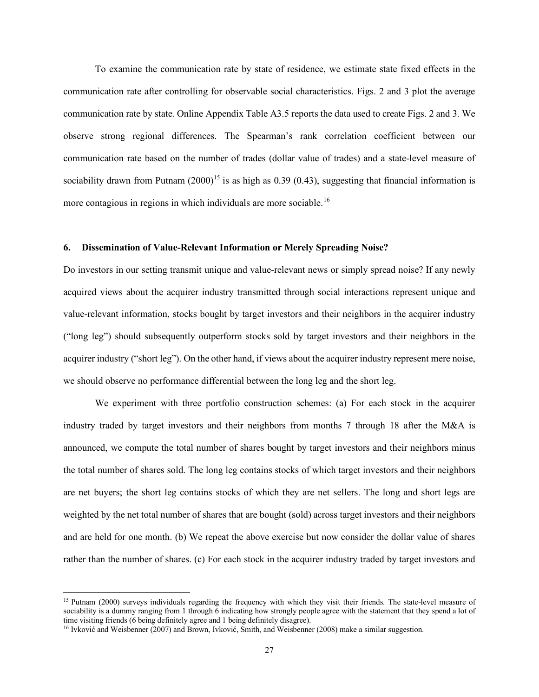To examine the communication rate by state of residence, we estimate state fixed effects in the communication rate after controlling for observable social characteristics. Figs. 2 and 3 plot the average communication rate by state. Online Appendix Table A3.5 reports the data used to create Figs. 2 and 3. We observe strong regional differences. The Spearman's rank correlation coefficient between our communication rate based on the number of trades (dollar value of trades) and a state-level measure of sociability drawn from Putnam  $(2000)^{15}$  is as high as 0.39 (0.43), suggesting that financial information is more contagious in regions in which individuals are more sociable.<sup>16</sup>

# **6. Dissemination of Value-Relevant Information or Merely Spreading Noise?**

Do investors in our setting transmit unique and value-relevant news or simply spread noise? If any newly acquired views about the acquirer industry transmitted through social interactions represent unique and value-relevant information, stocks bought by target investors and their neighbors in the acquirer industry ("long leg") should subsequently outperform stocks sold by target investors and their neighbors in the acquirer industry ("short leg"). On the other hand, if views about the acquirer industry represent mere noise, we should observe no performance differential between the long leg and the short leg.

We experiment with three portfolio construction schemes: (a) For each stock in the acquirer industry traded by target investors and their neighbors from months 7 through 18 after the M&A is announced, we compute the total number of shares bought by target investors and their neighbors minus the total number of shares sold. The long leg contains stocks of which target investors and their neighbors are net buyers; the short leg contains stocks of which they are net sellers. The long and short legs are weighted by the net total number of shares that are bought (sold) across target investors and their neighbors and are held for one month. (b) We repeat the above exercise but now consider the dollar value of shares rather than the number of shares. (c) For each stock in the acquirer industry traded by target investors and

<sup>&</sup>lt;sup>15</sup> Putnam (2000) surveys individuals regarding the frequency with which they visit their friends. The state-level measure of sociability is a dummy ranging from 1 through 6 indicating how strongly people agree with the statement that they spend a lot of time visiting friends (6 being definitely agree and 1 being definitely disagree).

<sup>&</sup>lt;sup>16</sup> Ivković and Weisbenner (2007) and Brown, Ivković, Smith, and Weisbenner (2008) make a similar suggestion.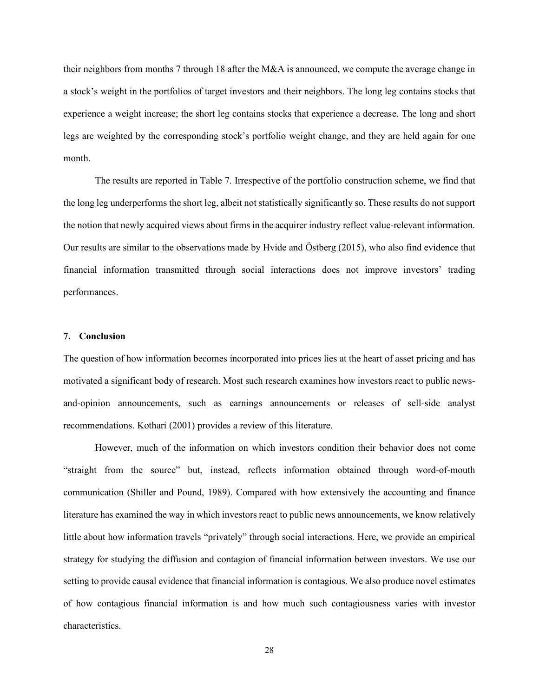their neighbors from months 7 through 18 after the M&A is announced, we compute the average change in a stock's weight in the portfolios of target investors and their neighbors. The long leg contains stocks that experience a weight increase; the short leg contains stocks that experience a decrease. The long and short legs are weighted by the corresponding stock's portfolio weight change, and they are held again for one month.

The results are reported in Table 7. Irrespective of the portfolio construction scheme, we find that the long leg underperforms the short leg, albeit not statistically significantly so. These results do not support the notion that newly acquired views about firms in the acquirer industry reflect value-relevant information. Our results are similar to the observations made by Hvide and Östberg (2015), who also find evidence that financial information transmitted through social interactions does not improve investors' trading performances.

# **7. Conclusion**

The question of how information becomes incorporated into prices lies at the heart of asset pricing and has motivated a significant body of research. Most such research examines how investors react to public newsand-opinion announcements, such as earnings announcements or releases of sell-side analyst recommendations. Kothari (2001) provides a review of this literature.

However, much of the information on which investors condition their behavior does not come "straight from the source" but, instead, reflects information obtained through word-of-mouth communication (Shiller and Pound, 1989). Compared with how extensively the accounting and finance literature has examined the way in which investors react to public news announcements, we know relatively little about how information travels "privately" through social interactions. Here, we provide an empirical strategy for studying the diffusion and contagion of financial information between investors. We use our setting to provide causal evidence that financial information is contagious. We also produce novel estimates of how contagious financial information is and how much such contagiousness varies with investor characteristics.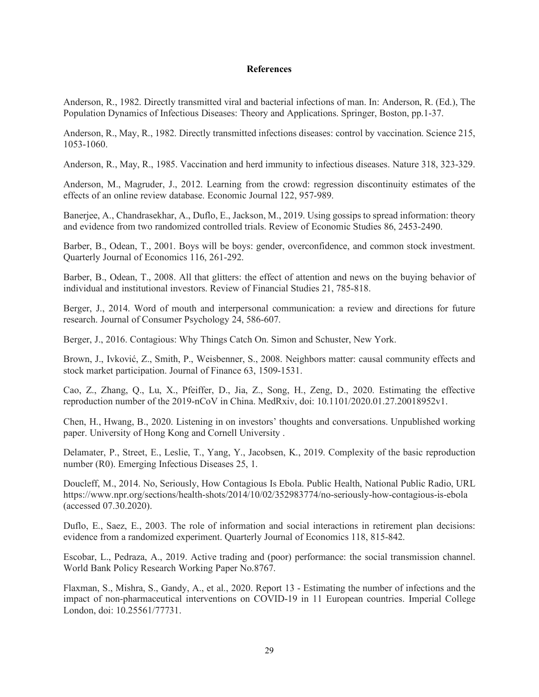# **References**

Anderson, R., 1982. Directly transmitted viral and bacterial infections of man. In: Anderson, R. (Ed.), The Population Dynamics of Infectious Diseases: Theory and Applications. Springer, Boston, pp.1-37.

Anderson, R., May, R., 1982. Directly transmitted infections diseases: control by vaccination. Science 215, 1053-1060.

Anderson, R., May, R., 1985. Vaccination and herd immunity to infectious diseases. Nature 318, 323-329.

Anderson, M., Magruder, J., 2012. Learning from the crowd: regression discontinuity estimates of the effects of an online review database. Economic Journal 122, 957-989.

Banerjee, A., Chandrasekhar, A., Duflo, E., Jackson, M., 2019. Using gossips to spread information: theory and evidence from two randomized controlled trials. Review of Economic Studies 86, 2453-2490.

Barber, B., Odean, T., 2001. Boys will be boys: gender, overconfidence, and common stock investment. Quarterly Journal of Economics 116, 261-292.

Barber, B., Odean, T., 2008. All that glitters: the effect of attention and news on the buying behavior of individual and institutional investors. Review of Financial Studies 21, 785-818.

Berger, J., 2014. Word of mouth and interpersonal communication: a review and directions for future research. Journal of Consumer Psychology 24, 586-607.

Berger, J., 2016. Contagious: Why Things Catch On. Simon and Schuster, New York.

Brown, J., Ivković, Z., Smith, P., Weisbenner, S., 2008. Neighbors matter: causal community effects and stock market participation. Journal of Finance 63, 1509-1531.

Cao, Z., Zhang, Q., Lu, X., Pfeiffer, D., Jia, Z., Song, H., Zeng, D., 2020. Estimating the effective reproduction number of the 2019-nCoV in China. MedRxiv, doi: 10.1101/2020.01.27.20018952v1.

Chen, H., Hwang, B., 2020. Listening in on investors' thoughts and conversations. Unpublished working paper. University of Hong Kong and Cornell University .

Delamater, P., Street, E., Leslie, T., Yang, Y., Jacobsen, K., 2019. Complexity of the basic reproduction number (R0). Emerging Infectious Diseases 25, 1.

Doucleff, M., 2014. No, Seriously, How Contagious Is Ebola. Public Health, National Public Radio, URL https://www.npr.org/sections/health-shots/2014/10/02/352983774/no-seriously-how-contagious-is-ebola (accessed 07.30.2020).

Duflo, E., Saez, E., 2003. The role of information and social interactions in retirement plan decisions: evidence from a randomized experiment. Quarterly Journal of Economics 118, 815-842.

Escobar, L., Pedraza, A., 2019. Active trading and (poor) performance: the social transmission channel. World Bank Policy Research Working Paper No.8767.

Flaxman, S., Mishra, S., Gandy, A., et al., 2020. Report 13 - Estimating the number of infections and the impact of non-pharmaceutical interventions on COVID-19 in 11 European countries. Imperial College London, doi: 10.25561/77731.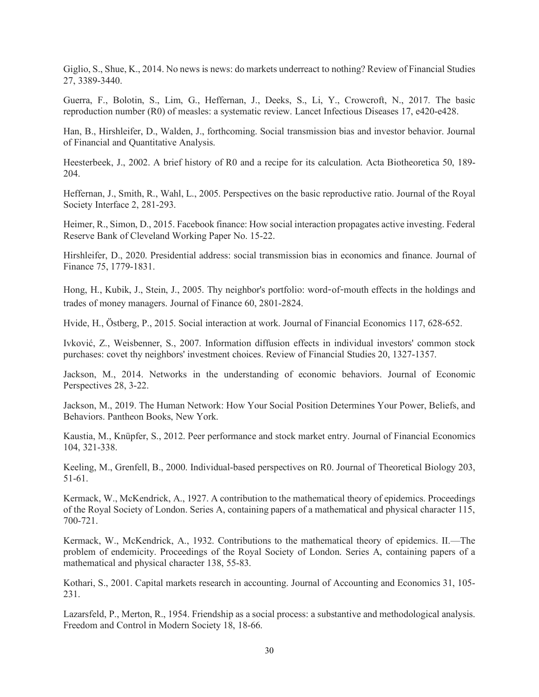Giglio, S., Shue, K., 2014. No news is news: do markets underreact to nothing? Review of Financial Studies 27, 3389-3440.

Guerra, F., Bolotin, S., Lim, G., Heffernan, J., Deeks, S., Li, Y., Crowcroft, N., 2017. The basic reproduction number (R0) of measles: a systematic review. Lancet Infectious Diseases 17, e420-e428.

Han, B., Hirshleifer, D., Walden, J., forthcoming. Social transmission bias and investor behavior. Journal of Financial and Quantitative Analysis.

Heesterbeek, J., 2002. A brief history of R0 and a recipe for its calculation. Acta Biotheoretica 50, 189- 204.

Heffernan, J., Smith, R., Wahl, L., 2005. Perspectives on the basic reproductive ratio. Journal of the Royal Society Interface 2, 281-293.

Heimer, R., Simon, D., 2015. Facebook finance: How social interaction propagates active investing. Federal Reserve Bank of Cleveland Working Paper No. 15-22.

Hirshleifer, D., 2020. Presidential address: social transmission bias in economics and finance. Journal of Finance 75, 1779-1831.

Hong, H., Kubik, J., Stein, J., 2005. Thy neighbor's portfolio: word‐of‐mouth effects in the holdings and trades of money managers. Journal of Finance 60, 2801-2824.

Hvide, H., Östberg, P., 2015. Social interaction at work. Journal of Financial Economics 117, 628-652.

Ivković, Z., Weisbenner, S., 2007. Information diffusion effects in individual investors' common stock purchases: covet thy neighbors' investment choices. Review of Financial Studies 20, 1327-1357.

Jackson, M., 2014. Networks in the understanding of economic behaviors. Journal of Economic Perspectives 28, 3-22.

Jackson, M., 2019. The Human Network: How Your Social Position Determines Your Power, Beliefs, and Behaviors. Pantheon Books, New York.

Kaustia, M., Knüpfer, S., 2012. Peer performance and stock market entry. Journal of Financial Economics 104, 321-338.

Keeling, M., Grenfell, B., 2000. Individual-based perspectives on R0. Journal of Theoretical Biology 203, 51-61.

Kermack, W., McKendrick, A., 1927. A contribution to the mathematical theory of epidemics. Proceedings of the Royal Society of London. Series A, containing papers of a mathematical and physical character 115, 700-721.

Kermack, W., McKendrick, A., 1932. Contributions to the mathematical theory of epidemics. II.—The problem of endemicity. Proceedings of the Royal Society of London. Series A, containing papers of a mathematical and physical character 138, 55-83.

Kothari, S., 2001. Capital markets research in accounting. Journal of Accounting and Economics 31, 105- 231.

Lazarsfeld, P., Merton, R., 1954. Friendship as a social process: a substantive and methodological analysis. Freedom and Control in Modern Society 18, 18-66.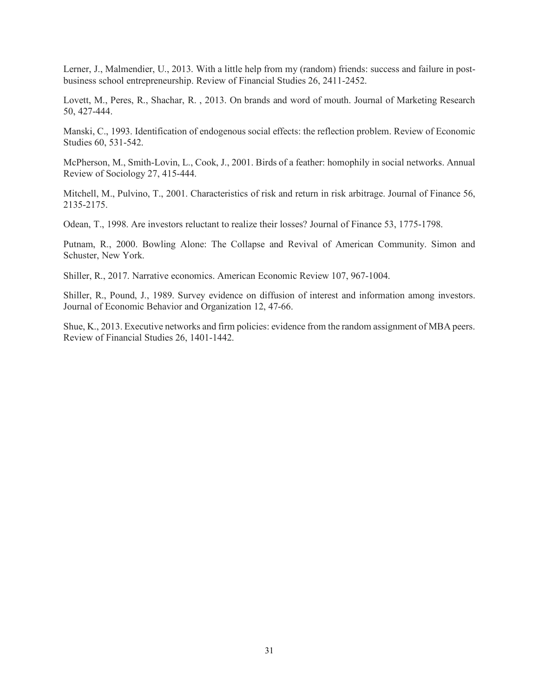Lerner, J., Malmendier, U., 2013. With a little help from my (random) friends: success and failure in postbusiness school entrepreneurship. Review of Financial Studies 26, 2411-2452.

Lovett, M., Peres, R., Shachar, R. , 2013. On brands and word of mouth. Journal of Marketing Research 50, 427-444.

Manski, C., 1993. Identification of endogenous social effects: the reflection problem. Review of Economic Studies 60, 531-542.

McPherson, M., Smith-Lovin, L., Cook, J., 2001. Birds of a feather: homophily in social networks. Annual Review of Sociology 27, 415-444.

Mitchell, M., Pulvino, T., 2001. Characteristics of risk and return in risk arbitrage. Journal of Finance 56, 2135-2175.

Odean, T., 1998. Are investors reluctant to realize their losses? Journal of Finance 53, 1775-1798.

Putnam, R., 2000. Bowling Alone: The Collapse and Revival of American Community. Simon and Schuster, New York.

Shiller, R., 2017. Narrative economics. American Economic Review 107, 967-1004.

Shiller, R., Pound, J., 1989. Survey evidence on diffusion of interest and information among investors. Journal of Economic Behavior and Organization 12, 47-66.

Shue, K., 2013. Executive networks and firm policies: evidence from the random assignment of MBA peers. Review of Financial Studies 26, 1401-1442.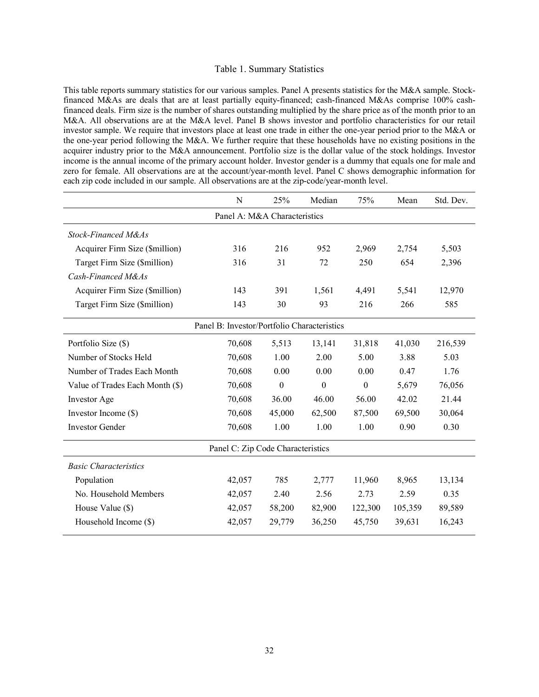### Table 1. Summary Statistics

This table reports summary statistics for our various samples. Panel A presents statistics for the M&A sample. Stockfinanced M&As are deals that are at least partially equity-financed; cash-financed M&As comprise 100% cashfinanced deals. Firm size is the number of shares outstanding multiplied by the share price as of the month prior to an M&A. All observations are at the M&A level. Panel B shows investor and portfolio characteristics for our retail investor sample. We require that investors place at least one trade in either the one-year period prior to the M&A or the one-year period following the M&A. We further require that these households have no existing positions in the acquirer industry prior to the M&A announcement. Portfolio size is the dollar value of the stock holdings. Investor income is the annual income of the primary account holder. Investor gender is a dummy that equals one for male and zero for female. All observations are at the account/year-month level. Panel C shows demographic information for each zip code included in our sample. All observations are at the zip-code/year-month level.

|                                             | N      | 25%              | Median           | 75%              | Mean    | Std. Dev. |  |  |  |
|---------------------------------------------|--------|------------------|------------------|------------------|---------|-----------|--|--|--|
| Panel A: M&A Characteristics                |        |                  |                  |                  |         |           |  |  |  |
| Stock-Financed M&As                         |        |                  |                  |                  |         |           |  |  |  |
| Acquirer Firm Size (\$million)              | 316    | 216              | 952              | 2,969            | 2,754   | 5,503     |  |  |  |
| Target Firm Size (\$million)                | 316    | 31               | 72               | 250              | 654     | 2,396     |  |  |  |
| Cash-Financed M&As                          |        |                  |                  |                  |         |           |  |  |  |
| Acquirer Firm Size (\$million)              | 143    | 391              | 1,561            | 4,491            | 5,541   | 12,970    |  |  |  |
| Target Firm Size (\$million)                | 143    | 30               | 93               | 216              | 266     | 585       |  |  |  |
| Panel B: Investor/Portfolio Characteristics |        |                  |                  |                  |         |           |  |  |  |
| Portfolio Size (\$)                         | 70,608 | 5,513            | 13,141           | 31,818           | 41,030  | 216,539   |  |  |  |
| Number of Stocks Held                       | 70,608 | 1.00             | 2.00             | 5.00             | 3.88    | 5.03      |  |  |  |
| Number of Trades Each Month                 | 70,608 | 0.00             | 0.00             | 0.00             | 0.47    | 1.76      |  |  |  |
| Value of Trades Each Month (\$)             | 70,608 | $\boldsymbol{0}$ | $\boldsymbol{0}$ | $\boldsymbol{0}$ | 5,679   | 76,056    |  |  |  |
| Investor Age                                | 70,608 | 36.00            | 46.00            | 56.00            | 42.02   | 21.44     |  |  |  |
| Investor Income (\$)                        | 70,608 | 45,000           | 62,500           | 87,500           | 69,500  | 30,064    |  |  |  |
| <b>Investor Gender</b>                      | 70,608 | 1.00             | 1.00             | 1.00             | 0.90    | 0.30      |  |  |  |
| Panel C: Zip Code Characteristics           |        |                  |                  |                  |         |           |  |  |  |
| <b>Basic Characteristics</b>                |        |                  |                  |                  |         |           |  |  |  |
| Population                                  | 42,057 | 785              | 2,777            | 11,960           | 8,965   | 13,134    |  |  |  |
| No. Household Members                       | 42,057 | 2.40             | 2.56             | 2.73             | 2.59    | 0.35      |  |  |  |
| House Value (\$)                            | 42,057 | 58,200           | 82,900           | 122,300          | 105,359 | 89,589    |  |  |  |
| Household Income (\$)                       | 42,057 | 29,779           | 36,250           | 45,750           | 39,631  | 16,243    |  |  |  |
|                                             |        |                  |                  |                  |         |           |  |  |  |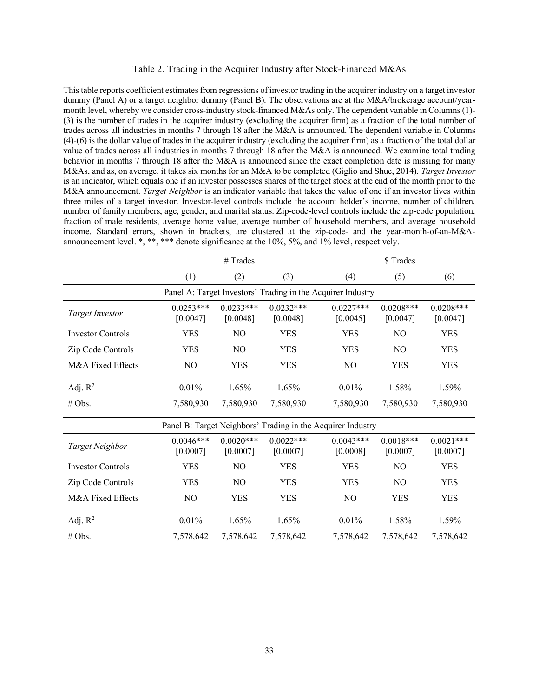## Table 2. Trading in the Acquirer Industry after Stock-Financed M&As

This table reports coefficient estimates from regressions of investor trading in the acquirer industry on a target investor dummy (Panel A) or a target neighbor dummy (Panel B). The observations are at the M&A/brokerage account/yearmonth level, whereby we consider cross-industry stock-financed M&As only. The dependent variable in Columns (1)-(3) is the number of trades in the acquirer industry (excluding the acquirer firm) as a fraction of the total number of trades across all industries in months 7 through 18 after the M&A is announced. The dependent variable in Columns (4)-(6) is the dollar value of trades in the acquirer industry (excluding the acquirer firm) as a fraction of the total dollar value of trades across all industries in months 7 through 18 after the M&A is announced. We examine total trading behavior in months 7 through 18 after the M&A is announced since the exact completion date is missing for many M&As, and as, on average, it takes six months for an M&A to be completed (Giglio and Shue, 2014). *Target Investor* is an indicator, which equals one if an investor possesses shares of the target stock at the end of the month prior to the M&A announcement. *Target Neighbor* is an indicator variable that takes the value of one if an investor lives within three miles of a target investor. Investor-level controls include the account holder's income, number of children, number of family members, age, gender, and marital status. Zip-code-level controls include the zip-code population, fraction of male residents, average home value, average number of household members, and average household income. Standard errors, shown in brackets, are clustered at the zip-code- and the year-month-of-an-M&Aannouncement level. \*, \*\*, \*\*\* denote significance at the 10%, 5%, and 1% level, respectively.

|                          | $#$ Trades              |                         |                                                             |  | \$ Trades               |                         |                         |  |  |
|--------------------------|-------------------------|-------------------------|-------------------------------------------------------------|--|-------------------------|-------------------------|-------------------------|--|--|
|                          | (1)                     | (2)                     | (3)                                                         |  | (4)                     | (5)                     | (6)                     |  |  |
|                          |                         |                         | Panel A: Target Investors' Trading in the Acquirer Industry |  |                         |                         |                         |  |  |
| <b>Target Investor</b>   | $0.0253***$<br>[0.0047] | $0.0233***$<br>[0.0048] | $0.0232***$<br>[0.0048]                                     |  | $0.0227***$<br>[0.0045] | $0.0208***$<br>[0.0047] | $0.0208***$<br>[0.0047] |  |  |
| <b>Investor Controls</b> | <b>YES</b>              | N <sub>O</sub>          | <b>YES</b>                                                  |  | <b>YES</b>              | N <sub>O</sub>          | <b>YES</b>              |  |  |
| Zip Code Controls        | <b>YES</b>              | N <sub>O</sub>          | <b>YES</b>                                                  |  | <b>YES</b>              | N <sub>O</sub>          | <b>YES</b>              |  |  |
| M&A Fixed Effects        | N <sub>O</sub>          | <b>YES</b>              | <b>YES</b>                                                  |  | N <sub>O</sub>          | YES                     | <b>YES</b>              |  |  |
| Adj. $R^2$               | 0.01%                   | 1.65%                   | $1.65\%$                                                    |  | 0.01%                   | 1.58%                   | 1.59%                   |  |  |
| # Obs.                   | 7,580,930               | 7,580,930               | 7,580,930                                                   |  | 7,580,930               | 7,580,930               | 7,580,930               |  |  |
|                          |                         |                         | Panel B: Target Neighbors' Trading in the Acquirer Industry |  |                         |                         |                         |  |  |
| Target Neighbor          | $0.0046***$<br>[0.0007] | $0.0020***$<br>[0.0007] | $0.0022***$<br>[0.0007]                                     |  | $0.0043***$<br>[0.0008] | $0.0018***$<br>[0.0007] | $0.0021***$<br>[0.0007] |  |  |
| <b>Investor Controls</b> | <b>YES</b>              | N <sub>O</sub>          | <b>YES</b>                                                  |  | <b>YES</b>              | N <sub>O</sub>          | YES                     |  |  |
| Zip Code Controls        | <b>YES</b>              | N <sub>O</sub>          | <b>YES</b>                                                  |  | <b>YES</b>              | N <sub>O</sub>          | <b>YES</b>              |  |  |
| M&A Fixed Effects        | NO                      | <b>YES</b>              | <b>YES</b>                                                  |  | NO                      | <b>YES</b>              | <b>YES</b>              |  |  |
| Adj. $R^2$               | 0.01%                   | 1.65%                   | 1.65%                                                       |  | 0.01%                   | 1.58%                   | 1.59%                   |  |  |
| # Obs.                   | 7,578,642               | 7,578,642               | 7,578,642                                                   |  | 7,578,642               | 7,578,642               | 7,578,642               |  |  |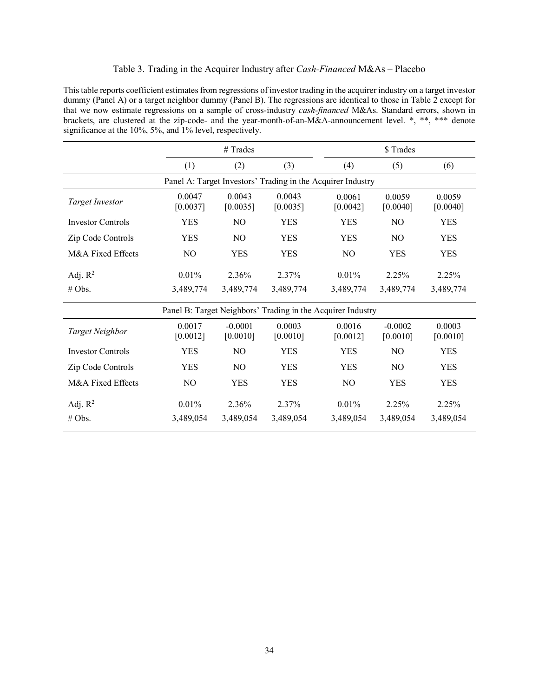# Table 3. Trading in the Acquirer Industry after *Cash-Financed* M&As – Placebo

This table reports coefficient estimates from regressions of investor trading in the acquirer industry on a target investor dummy (Panel A) or a target neighbor dummy (Panel B). The regressions are identical to those in Table 2 except for that we now estimate regressions on a sample of cross-industry *cash-financed* M&As. Standard errors, shown in brackets, are clustered at the zip-code- and the year-month-of-an-M&A-announcement level. \*, \*\*, \*\*\* denote significance at the 10%, 5%, and 1% level, respectively.

|                          |                    | $#$ Trades            |                    | \$Trades                                                    |                       |                    |  |  |
|--------------------------|--------------------|-----------------------|--------------------|-------------------------------------------------------------|-----------------------|--------------------|--|--|
|                          | (1)                | (2)                   | (3)                | (4)                                                         | (5)                   | (6)                |  |  |
|                          |                    |                       |                    | Panel A: Target Investors' Trading in the Acquirer Industry |                       |                    |  |  |
| <b>Target Investor</b>   | 0.0047<br>[0.0037] | 0.0043<br>[0.0035]    | 0.0043<br>[0.0035] | 0.0061<br>[0.0042]                                          | 0.0059<br>[0.0040]    | 0.0059<br>[0.0040] |  |  |
| <b>Investor Controls</b> | <b>YES</b>         | N <sub>O</sub>        | <b>YES</b>         | <b>YES</b>                                                  | N <sub>O</sub>        | <b>YES</b>         |  |  |
| Zip Code Controls        | <b>YES</b>         | N <sub>O</sub>        | <b>YES</b>         | <b>YES</b>                                                  | N <sub>O</sub>        | <b>YES</b>         |  |  |
| M&A Fixed Effects        | N <sub>O</sub>     | <b>YES</b>            | <b>YES</b>         | N <sub>O</sub>                                              | <b>YES</b>            | <b>YES</b>         |  |  |
| Adj. $R^2$               | 0.01%              | 2.36%                 | 2.37%              | 0.01%                                                       | 2.25%                 | 2.25%              |  |  |
| # Obs.                   | 3,489,774          | 3,489,774             | 3,489,774          | 3,489,774                                                   | 3,489,774             | 3,489,774          |  |  |
|                          |                    |                       |                    | Panel B: Target Neighbors' Trading in the Acquirer Industry |                       |                    |  |  |
| Target Neighbor          | 0.0017<br>[0.0012] | $-0.0001$<br>[0.0010] | 0.0003<br>[0.0010] | 0.0016<br>[0.0012]                                          | $-0.0002$<br>[0.0010] | 0.0003<br>[0.0010] |  |  |
| <b>Investor Controls</b> | <b>YES</b>         | NO.                   | <b>YES</b>         | <b>YES</b>                                                  | N <sub>O</sub>        | <b>YES</b>         |  |  |
| Zip Code Controls        | <b>YES</b>         | N <sub>O</sub>        | <b>YES</b>         | <b>YES</b>                                                  | N <sub>O</sub>        | <b>YES</b>         |  |  |
| M&A Fixed Effects        | N <sub>O</sub>     | <b>YES</b>            | <b>YES</b>         | N <sub>O</sub>                                              | <b>YES</b>            | <b>YES</b>         |  |  |
| Adj. $R^2$<br># Obs.     | 0.01%<br>3,489,054 | 2.36%<br>3,489,054    | 2.37%<br>3,489,054 | $0.01\%$<br>3,489,054                                       | 2.25%<br>3,489,054    | 2.25%<br>3,489,054 |  |  |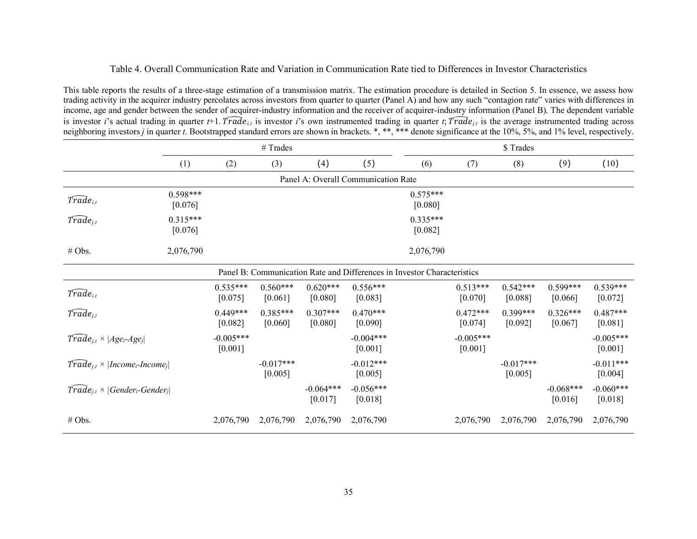# Table 4. Overall Communication Rate and Variation in Communication Rate tied to Differences in Investor Characteristics

This table reports the results of a three-stage estimation of a transmission matrix. The estimation procedure is detailed in Section 5. In essence, we assess how trading activity in the acquirer industry percolates across investors from quarter to quarter (Panel A) and how any such "contagion rate" varies with differences in income, age and gender between the sender of acquirer-industry information and the receiver of acquirer-industry information (Panel B). The dependent variable is investor *i*'s actual trading in quarter *t*+1. *Trade<sub>it</sub>* is investor *i*'s own instrumented trading in quarter *t*; *Trade<sub>it</sub>* is the average instrumented trading across neighboring investors *j* in quarter *t*. Bootstrapped standard errors are shown in brackets. \*, \*\*, \*\*\* denote significance at the 10%, 5%, and 1% level, respectively.

|                                                               |                       | # Trades               |                        |                        |                                                                         |                       | \$Trades                 |                        |                        |                          |  |
|---------------------------------------------------------------|-----------------------|------------------------|------------------------|------------------------|-------------------------------------------------------------------------|-----------------------|--------------------------|------------------------|------------------------|--------------------------|--|
|                                                               | (1)                   | (2)                    | (3)                    | (4)                    | (5)                                                                     | (6)                   | (7)                      | (8)                    | (9)                    | (10)                     |  |
| Panel A: Overall Communication Rate                           |                       |                        |                        |                        |                                                                         |                       |                          |                        |                        |                          |  |
| $\widehat{Trade}_{i,t}$                                       | $0.598***$<br>[0.076] |                        |                        |                        |                                                                         | $0.575***$<br>[0.080] |                          |                        |                        |                          |  |
| $\widehat{Trade}_{j,t}$                                       | $0.315***$<br>[0.076] |                        |                        |                        |                                                                         | $0.335***$<br>[0.082] |                          |                        |                        |                          |  |
| # Obs.                                                        | 2,076,790             |                        |                        |                        |                                                                         | 2,076,790             |                          |                        |                        |                          |  |
|                                                               |                       |                        |                        |                        | Panel B: Communication Rate and Differences in Investor Characteristics |                       |                          |                        |                        |                          |  |
| $\widehat{Trade}_{i,t}$                                       |                       | $0.535***$<br>[0.075]  | $0.560***$<br>[0.061]  | $0.620***$<br>[0.080]  | $0.556***$<br>[0.083]                                                   |                       | $0.513***$<br>[0.070]    | $0.542***$<br>[0.088]  | $0.599***$<br>[0.066]  | $0.539***$<br>[0.072]    |  |
| $T\widehat{rad}e_{j,t}$                                       |                       | $0.449***$<br>[0.082]  | $0.385***$<br>[0.060]  | $0.307***$<br>[0.080]  | $0.470***$<br>[0.090]                                                   |                       | $0.472***$<br>[0.074]    | $0.399***$<br>[0.092]  | $0.326***$<br>[0.067]  | $0.487***$<br>[0.081]    |  |
| $\widehat{Trade}_{i,t} \times  Age_i Age_j $                  |                       | $-0.005***$<br>[0.001] |                        |                        | $-0.004***$<br>$[0.001]$                                                |                       | $-0.005***$<br>$[0.001]$ |                        |                        | $-0.005***$<br>$[0.001]$ |  |
| $\text{Trade}_{i,t} \times  \text{Income}_i\text{-}Income_i $ |                       |                        | $-0.017***$<br>[0.005] |                        | $-0.012***$<br>[0.005]                                                  |                       |                          | $-0.017***$<br>[0.005] |                        | $-0.011***$<br>[0.004]   |  |
| $\overline{Trade}_{j,t} \times  Generator_i\text{-}Gender_j $ |                       |                        |                        | $-0.064***$<br>[0.017] | $-0.056***$<br>[0.018]                                                  |                       |                          |                        | $-0.068***$<br>[0.016] | $-0.060***$<br>[0.018]   |  |
| # Obs.                                                        |                       | 2,076,790              | 2,076,790              | 2,076,790              | 2,076,790                                                               |                       | 2,076,790                | 2,076,790              | 2,076,790              | 2,076,790                |  |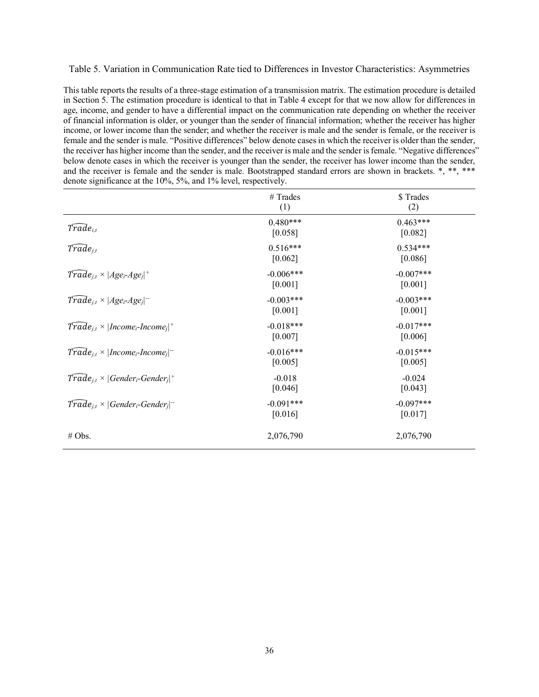#### Table 5. Variation in Communication Rate tied to Differences in Investor Characteristics: Asymmetries

This table reports the results of a three-stage estimation of a transmission matrix. The estimation procedure is detailed in Section 5. The estimation procedure is identical to that in Table 4 except for that we now allow for differences in age, income, and gender to have a differential impact on the communication rate depending on whether the receiver of financial information is older, or younger than the sender of financial information; whether the receiver has higher income, or lower income than the sender; and whether the receiver is male and the sender is female, or the receiver is female and the sender is male. "Positive differences" below denote cases in which the receiver is older than the sender, the receiver has higher income than the sender, and the receiver is male and the sender is female. "Negative differences" below denote cases in which the receiver is younger than the sender, the receiver has lower income than the sender, and the receiver is female and the sender is male. Bootstrapped standard errors are shown in brackets. \*, \*\*, \*\*\* denote significance at the 10%, 5%, and 1% level, respectively.

|                                                                               | # Trades<br>(1)        | \$Trades<br>(2)        |
|-------------------------------------------------------------------------------|------------------------|------------------------|
| $\widetilde{Trade}_{i.t}$                                                     | $0.480***$<br>[0.058]  | $0.463***$<br>[0.082]  |
| $\widetilde{Trade}_{j,t}$                                                     | $0.516***$<br>[0.062]  | $0.534***$<br>[0.086]  |
| $\text{Trade}_{j,t} \times  Age_i \text{-} Age_j ^+$                          | $-0.006***$<br>[0.001] | $-0.007***$<br>[0.001] |
| $\overline{Trade}_{i,t} \times  Age_i \text{-}Age_i ^{-1}$                    | $-0.003***$<br>[0.001] | $-0.003***$<br>[0.001] |
| $\text{Trade}_{i,t} \times  \text{Income}_i\text{-}Income_i ^+$               | $-0.018***$<br>[0.007] | $-0.017***$<br>[0.006] |
| $\text{Trade}_{i,t} \times  \text{Income}_i\text{-}Income_i ^{-1}$            | $-0.016***$<br>[0.005] | $-0.015***$<br>[0.005] |
| $\overline{Trade}_{i,t} \times  Generator_i\text{-}Gender_i ^+$               | $-0.018$<br>[0.046]    | $-0.024$<br>[0.043]    |
| $\text{Trade}_{j,t} \times  \text{Gender}_{i}\text{-}\text{Gender}_{j} ^{-1}$ | $-0.091***$<br>[0.016] | $-0.097***$<br>[0.017] |
| # Obs.                                                                        | 2,076,790              | 2,076,790              |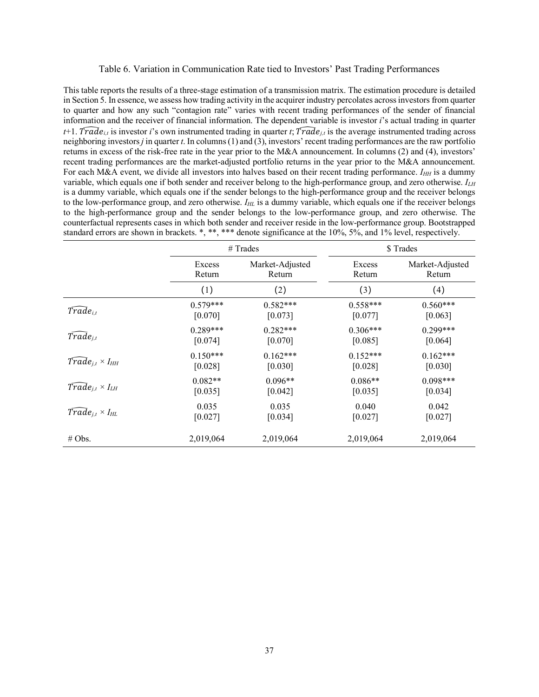#### Table 6. Variation in Communication Rate tied to Investors' Past Trading Performances

This table reports the results of a three-stage estimation of a transmission matrix. The estimation procedure is detailed in Section 5. In essence, we assess how trading activity in the acquirer industry percolates across investors from quarter to quarter and how any such "contagion rate" varies with recent trading performances of the sender of financial information and the receiver of financial information. The dependent variable is investor *i*'s actual trading in quarter  $t+1$ . *Trade<sub>li</sub>* is investor *i*'s own instrumented trading in quarter *t*; *Trade<sub>li</sub>* is the average instrumented trading across neighboring investors *j* in quarter *t*. In columns (1) and (3), investors' recent trading performances are the raw portfolio returns in excess of the risk-free rate in the year prior to the M&A announcement. In columns (2) and (4), investors' recent trading performances are the market-adjusted portfolio returns in the year prior to the M&A announcement. For each M&A event, we divide all investors into halves based on their recent trading performance.  $I_{HH}$  is a dummy variable, which equals one if both sender and receiver belong to the high-performance group, and zero otherwise. *ILH* is a dummy variable, which equals one if the sender belongs to the high-performance group and the receiver belongs to the low-performance group, and zero otherwise.  $I_{HL}$  is a dummy variable, which equals one if the receiver belongs to the high-performance group and the sender belongs to the low-performance group, and zero otherwise. The counterfactual represents cases in which both sender and receiver reside in the low-performance group. Bootstrapped standard errors are shown in brackets. \*, \*\*, \*\*\* denote significance at the 10%, 5%, and 1% level, respectively.

|                                       |            | $#$ Trades      | \$Trades   |                 |  |  |
|---------------------------------------|------------|-----------------|------------|-----------------|--|--|
|                                       | Excess     | Market-Adjusted | Excess     | Market-Adjusted |  |  |
|                                       | Return     | Return          | Return     | Return          |  |  |
|                                       | (1)        | (2)             | (3)        | (4)             |  |  |
| $T\widehat{rad}e_{i,t}$               | $0.579***$ | $0.582***$      | $0.558***$ | $0.560***$      |  |  |
|                                       | [0.070]    | [0.073]         | [0.077]    | [0.063]         |  |  |
| $Trade_{i,t}$                         | $0.289***$ | $0.282***$      | $0.306***$ | $0.299***$      |  |  |
|                                       | [0.074]    | [0.070]         | [0.085]    | [0.064]         |  |  |
| $Trade_{i,t} \times I_{HH}$           | $0.150***$ | $0.162***$      | $0.152***$ | $0.162***$      |  |  |
|                                       | [0.028]    | [0.030]         | [0.028]    | [0.030]         |  |  |
| $T\widehat{rad}e_{i,t}\times I_{LH}$  | $0.082**$  | $0.096**$       | $0.086**$  | $0.098***$      |  |  |
|                                       | [0.035]    | [0.042]         | [0.035]    | [0.034]         |  |  |
| $\widehat{Trade}_{i,t} \times I_{HL}$ | 0.035      | 0.035           | 0.040      | 0.042           |  |  |
|                                       | [0.027]    | [0.034]         | [0.027]    | [0.027]         |  |  |
| # Obs.                                | 2,019,064  | 2,019,064       | 2,019,064  | 2,019,064       |  |  |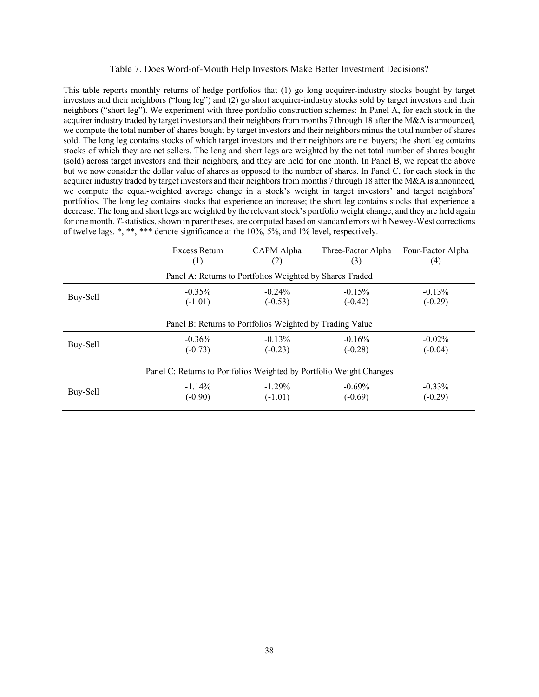## Table 7. Does Word-of-Mouth Help Investors Make Better Investment Decisions?

This table reports monthly returns of hedge portfolios that (1) go long acquirer-industry stocks bought by target investors and their neighbors ("long leg") and (2) go short acquirer-industry stocks sold by target investors and their neighbors ("short leg"). We experiment with three portfolio construction schemes: In Panel A, for each stock in the acquirer industry traded by target investors and their neighbors from months 7 through 18 after the M&A is announced, we compute the total number of shares bought by target investors and their neighbors minus the total number of shares sold. The long leg contains stocks of which target investors and their neighbors are net buyers; the short leg contains stocks of which they are net sellers. The long and short legs are weighted by the net total number of shares bought (sold) across target investors and their neighbors, and they are held for one month. In Panel B, we repeat the above but we now consider the dollar value of shares as opposed to the number of shares. In Panel C, for each stock in the acquirer industry traded by target investors and their neighbors from months 7 through 18 after the M&A is announced, we compute the equal-weighted average change in a stock's weight in target investors' and target neighbors' portfolios. The long leg contains stocks that experience an increase; the short leg contains stocks that experience a decrease. The long and short legs are weighted by the relevant stock's portfolio weight change, and they are held again for one month. *T*-statistics, shown in parentheses, are computed based on standard errors with Newey-West corrections of twelve lags. \*, \*\*, \*\*\* denote significance at the 10%, 5%, and 1% level, respectively.

|          | Excess Return                                                       | CAPM Alpha | Three-Factor Alpha | Four-Factor Alpha |
|----------|---------------------------------------------------------------------|------------|--------------------|-------------------|
|          | $\left(1\right)$                                                    | (2)        | (3)                | (4)               |
|          | Panel A: Returns to Portfolios Weighted by Shares Traded            |            |                    |                   |
| Buy-Sell | $-0.35\%$                                                           | $-0.24\%$  | $-0.15%$           | $-0.13%$          |
|          | $(-1.01)$                                                           | $(-0.53)$  | $(-0.42)$          | $(-0.29)$         |
|          | Panel B: Returns to Portfolios Weighted by Trading Value            |            |                    |                   |
| Buy-Sell | $-0.36%$                                                            | $-0.13%$   | $-0.16%$           | $-0.02\%$         |
|          | $(-0.73)$                                                           | $(-0.23)$  | $(-0.28)$          | $(-0.04)$         |
|          | Panel C: Returns to Portfolios Weighted by Portfolio Weight Changes |            |                    |                   |
| Buy-Sell | $-1.14\%$                                                           | $-1.29\%$  | $-0.69%$           | $-0.33\%$         |
|          | $(-0.90)$                                                           | $(-1.01)$  | $(-0.69)$          | $(-0.29)$         |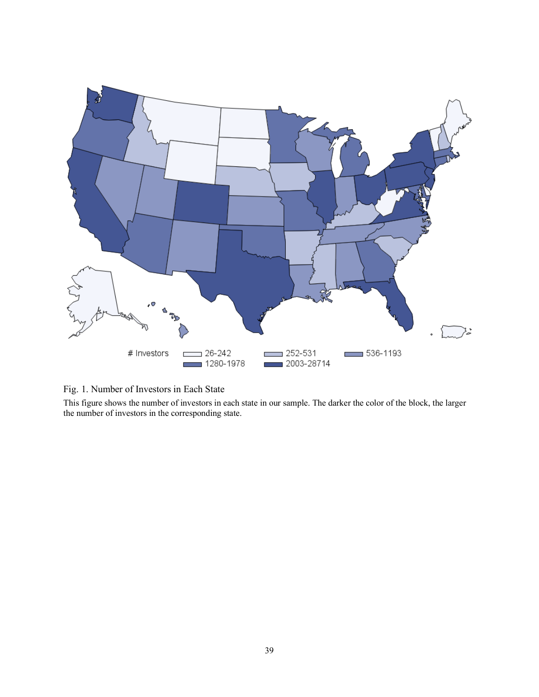

| Fig. 1. Number of Investors in Each State |  |  |  |  |  |  |  |  |
|-------------------------------------------|--|--|--|--|--|--|--|--|
|-------------------------------------------|--|--|--|--|--|--|--|--|

This figure shows the number of investors in each state in our sample. The darker the color of the block, the larger the number of investors in the corresponding state.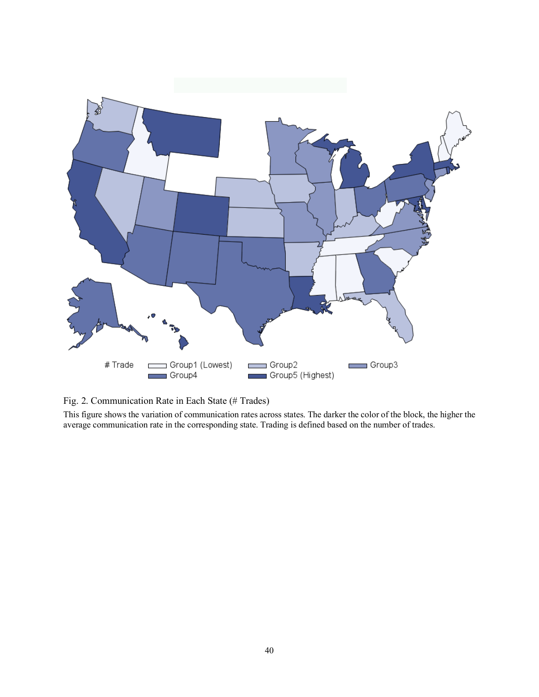

Fig. 2. Communication Rate in Each State (# Trades)

This figure shows the variation of communication rates across states. The darker the color of the block, the higher the average communication rate in the corresponding state. Trading is defined based on the number of trades.